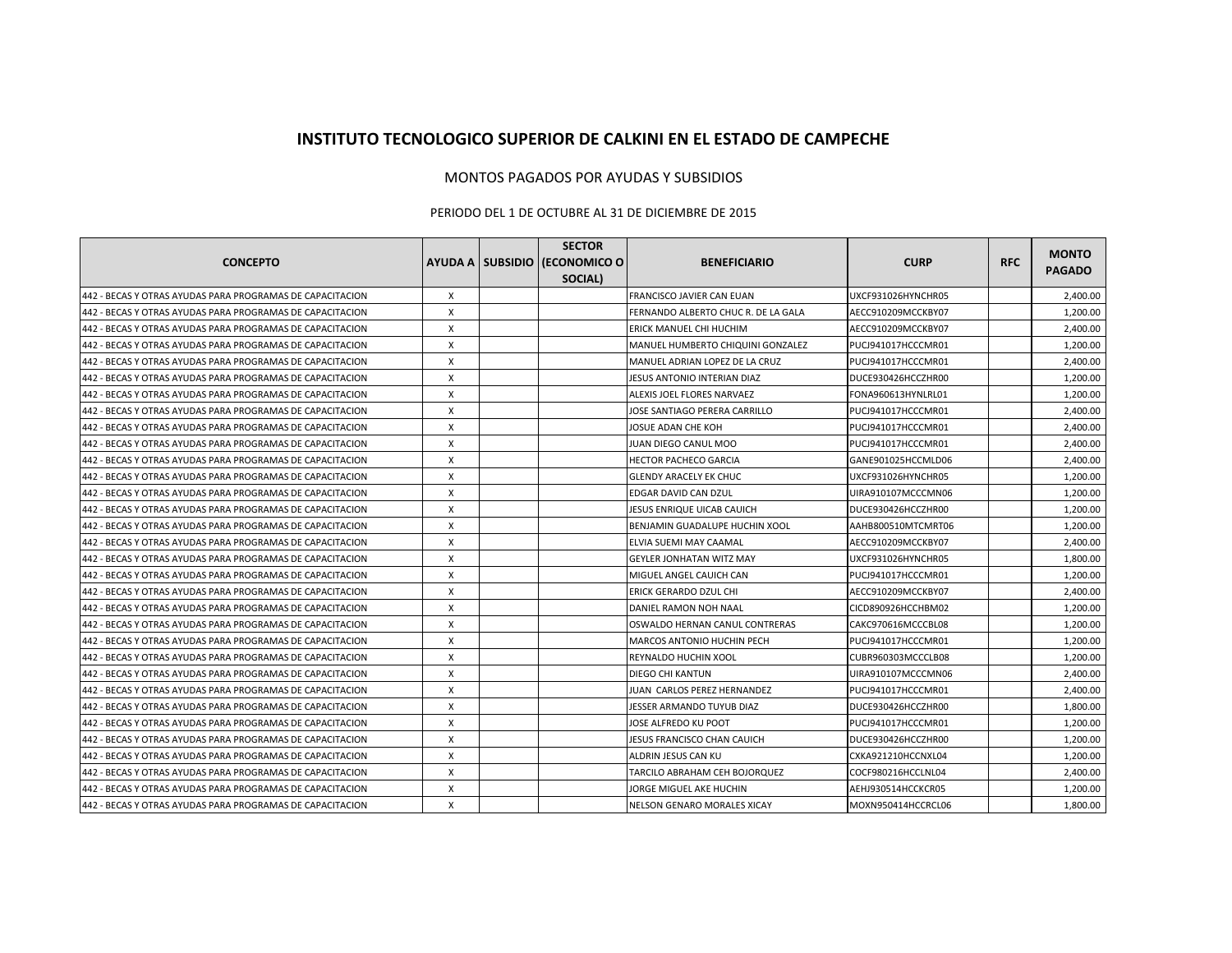## **INSTITUTO TECNOLOGICO SUPERIOR DE CALKINI EN EL ESTADO DE CAMPECHE**

## MONTOS PAGADOS POR AYUDAS Y SUBSIDIOS

## PERIODO DEL 1 DE OCTUBRE AL 31 DE DICIEMBRE DE 2015

|                                                           |   | <b>SECTOR</b>                 |                                     |                    |            |                               |
|-----------------------------------------------------------|---|-------------------------------|-------------------------------------|--------------------|------------|-------------------------------|
| <b>CONCEPTO</b>                                           |   | AYUDA A SUBSIDIO (ECONOMICO O | <b>BENEFICIARIO</b>                 | <b>CURP</b>        | <b>RFC</b> | <b>MONTO</b><br><b>PAGADO</b> |
|                                                           |   | SOCIAL)                       |                                     |                    |            |                               |
| 442 - BECAS Y OTRAS AYUDAS PARA PROGRAMAS DE CAPACITACION | X |                               | <b>FRANCISCO JAVIER CAN EUAN</b>    | UXCF931026HYNCHR05 |            | 2,400.00                      |
| 442 - BECAS Y OTRAS AYUDAS PARA PROGRAMAS DE CAPACITACION | X |                               | FERNANDO ALBERTO CHUC R. DE LA GALA | AECC910209MCCKBY07 |            | 1,200.00                      |
| 442 - BECAS Y OTRAS AYUDAS PARA PROGRAMAS DE CAPACITACION | X |                               | ERICK MANUEL CHI HUCHIM             | AECC910209MCCKBY07 |            | 2,400.00                      |
| 442 - BECAS Y OTRAS AYUDAS PARA PROGRAMAS DE CAPACITACION | X |                               | MANUEL HUMBERTO CHIQUINI GONZALEZ   | PUCJ941017HCCCMR01 |            | 1,200.00                      |
| 442 - BECAS Y OTRAS AYUDAS PARA PROGRAMAS DE CAPACITACION | X |                               | MANUEL ADRIAN LOPEZ DE LA CRUZ      | PUCJ941017HCCCMR01 |            | 2,400.00                      |
| 442 - BECAS Y OTRAS AYUDAS PARA PROGRAMAS DE CAPACITACION | X |                               | JESUS ANTONIO INTERIAN DIAZ         | DUCE930426HCCZHR00 |            | 1,200.00                      |
| 442 - BECAS Y OTRAS AYUDAS PARA PROGRAMAS DE CAPACITACION | X |                               | ALEXIS JOEL FLORES NARVAEZ          | FONA960613HYNLRL01 |            | 1,200.00                      |
| 442 - BECAS Y OTRAS AYUDAS PARA PROGRAMAS DE CAPACITACION | X |                               | JOSE SANTIAGO PERERA CARRILLO       | PUCJ941017HCCCMR01 |            | 2,400.00                      |
| 442 - BECAS Y OTRAS AYUDAS PARA PROGRAMAS DE CAPACITACION | X |                               | JOSUE ADAN CHE KOH                  | PUCJ941017HCCCMR01 |            | 2,400.00                      |
| 442 - BECAS Y OTRAS AYUDAS PARA PROGRAMAS DE CAPACITACION | X |                               | JUAN DIEGO CANUL MOO                | PUCJ941017HCCCMR01 |            | 2,400.00                      |
| 442 - BECAS Y OTRAS AYUDAS PARA PROGRAMAS DE CAPACITACION | X |                               | HECTOR PACHECO GARCIA               | GANE901025HCCMLD06 |            | 2,400.00                      |
| 442 - BECAS Y OTRAS AYUDAS PARA PROGRAMAS DE CAPACITACION | X |                               | <b>GLENDY ARACELY EK CHUC</b>       | UXCF931026HYNCHR05 |            | 1,200.00                      |
| 442 - BECAS Y OTRAS AYUDAS PARA PROGRAMAS DE CAPACITACION | X |                               | EDGAR DAVID CAN DZUL                | UIRA910107MCCCMN06 |            | 1,200.00                      |
| 442 - BECAS Y OTRAS AYUDAS PARA PROGRAMAS DE CAPACITACION | X |                               | JESUS ENRIQUE UICAB CAUICH          | DUCE930426HCCZHR00 |            | 1,200.00                      |
| 442 - BECAS Y OTRAS AYUDAS PARA PROGRAMAS DE CAPACITACION | X |                               | BENJAMIN GUADALUPE HUCHIN XOOL      | AAHB800510MTCMRT06 |            | 1,200.00                      |
| 442 - BECAS Y OTRAS AYUDAS PARA PROGRAMAS DE CAPACITACION | X |                               | ELVIA SUEMI MAY CAAMAL              | AECC910209MCCKBY07 |            | 2,400.00                      |
| 442 - BECAS Y OTRAS AYUDAS PARA PROGRAMAS DE CAPACITACION | X |                               | GEYLER JONHATAN WITZ MAY            | UXCF931026HYNCHR05 |            | 1,800.00                      |
| 442 - BECAS Y OTRAS AYUDAS PARA PROGRAMAS DE CAPACITACION | X |                               | MIGUEL ANGEL CAUICH CAN             | PUCJ941017HCCCMR01 |            | 1,200.00                      |
| 442 - BECAS Y OTRAS AYUDAS PARA PROGRAMAS DE CAPACITACION | X |                               | ERICK GERARDO DZUL CHI              | AECC910209MCCKBY07 |            | 2,400.00                      |
| 442 - BECAS Y OTRAS AYUDAS PARA PROGRAMAS DE CAPACITACION | X |                               | DANIEL RAMON NOH NAAL               | CICD890926HCCHBM02 |            | 1,200.00                      |
| 442 - BECAS Y OTRAS AYUDAS PARA PROGRAMAS DE CAPACITACION | X |                               | OSWALDO HERNAN CANUL CONTRERAS      | CAKC970616MCCCBL08 |            | 1,200.00                      |
| 442 - BECAS Y OTRAS AYUDAS PARA PROGRAMAS DE CAPACITACION | X |                               | <b>MARCOS ANTONIO HUCHIN PECH</b>   | PUCJ941017HCCCMR01 |            | 1,200.00                      |
| 442 - BECAS Y OTRAS AYUDAS PARA PROGRAMAS DE CAPACITACION | X |                               | REYNALDO HUCHIN XOOL                | CUBR960303MCCCLB08 |            | 1,200.00                      |
| 442 - BECAS Y OTRAS AYUDAS PARA PROGRAMAS DE CAPACITACION | X |                               | DIEGO CHI KANTUN                    | UIRA910107MCCCMN06 |            | 2,400.00                      |
| 442 - BECAS Y OTRAS AYUDAS PARA PROGRAMAS DE CAPACITACION | X |                               | JUAN CARLOS PEREZ HERNANDEZ         | PUCJ941017HCCCMR01 |            | 2,400.00                      |
| 442 - BECAS Y OTRAS AYUDAS PARA PROGRAMAS DE CAPACITACION | X |                               | JESSER ARMANDO TUYUB DIAZ           | DUCE930426HCCZHR00 |            | 1,800.00                      |
| 442 - BECAS Y OTRAS AYUDAS PARA PROGRAMAS DE CAPACITACION | X |                               | JOSE ALFREDO KU POOT                | PUCJ941017HCCCMR01 |            | 1,200.00                      |
| 442 - BECAS Y OTRAS AYUDAS PARA PROGRAMAS DE CAPACITACION | X |                               | JESUS FRANCISCO CHAN CAUICH         | DUCF930426HCCZHR00 |            | 1,200.00                      |
| 442 - BECAS Y OTRAS AYUDAS PARA PROGRAMAS DE CAPACITACION | X |                               | ALDRIN JESUS CAN KU                 | CXKA921210HCCNXL04 |            | 1,200.00                      |
| 442 - BECAS Y OTRAS AYUDAS PARA PROGRAMAS DE CAPACITACION | X |                               | TARCILO ABRAHAM CEH BOJORQUEZ       | COCF980216HCCLNL04 |            | 2,400.00                      |
| 442 - BECAS Y OTRAS AYUDAS PARA PROGRAMAS DE CAPACITACION | X |                               | JORGE MIGUEL AKE HUCHIN             | AEHJ930514HCCKCR05 |            | 1,200.00                      |
| 442 - BECAS Y OTRAS AYUDAS PARA PROGRAMAS DE CAPACITACION | X |                               | NELSON GENARO MORALES XICAY         | MOXN950414HCCRCL06 |            | 1,800.00                      |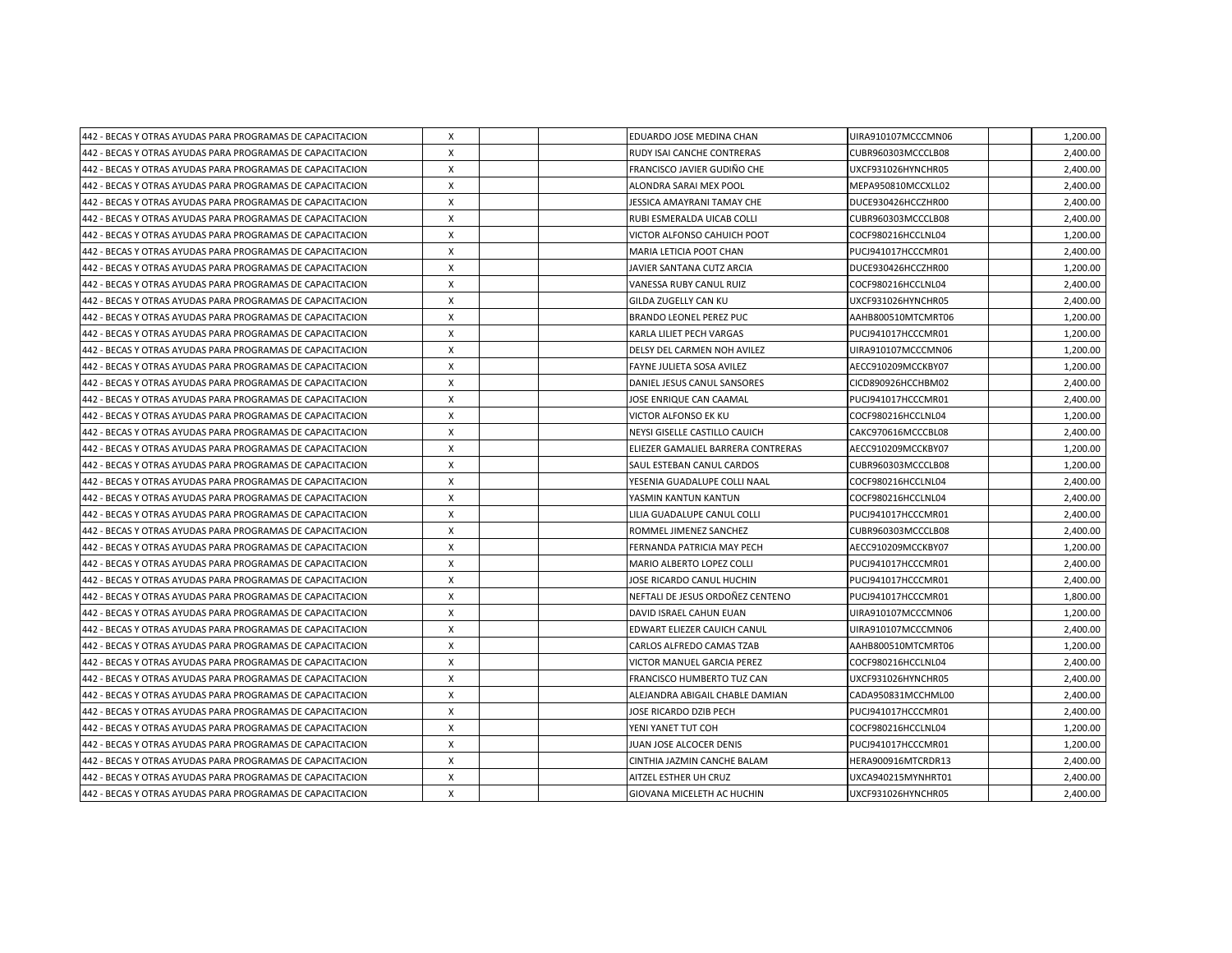| 442 - BECAS Y OTRAS AYUDAS PARA PROGRAMAS DE CAPACITACION | Χ |  | EDUARDO JOSE MEDINA CHAN           | UIRA910107MCCCMN06 | 1,200.00 |
|-----------------------------------------------------------|---|--|------------------------------------|--------------------|----------|
| 442 - BECAS Y OTRAS AYUDAS PARA PROGRAMAS DE CAPACITACION | X |  | RUDY ISAI CANCHE CONTRERAS         | CUBR960303MCCCLB08 | 2,400.00 |
| 442 - BECAS Y OTRAS AYUDAS PARA PROGRAMAS DE CAPACITACION | X |  | FRANCISCO JAVIER GUDIÑO CHE        | UXCF931026HYNCHR05 | 2,400.00 |
| 442 - BECAS Y OTRAS AYUDAS PARA PROGRAMAS DE CAPACITACION | X |  | ALONDRA SARAI MEX POOL             | MEPA950810MCCXLL02 | 2,400.00 |
| 442 - BECAS Y OTRAS AYUDAS PARA PROGRAMAS DE CAPACITACION | X |  | JESSICA AMAYRANI TAMAY CHE         | DUCE930426HCCZHR00 | 2,400.00 |
| 442 - BECAS Y OTRAS AYUDAS PARA PROGRAMAS DE CAPACITACION | X |  | RUBI ESMERALDA UICAB COLLI         | CUBR960303MCCCLB08 | 2,400.00 |
| 442 - BECAS Y OTRAS AYUDAS PARA PROGRAMAS DE CAPACITACION | X |  | VICTOR ALFONSO CAHUICH POOT        | COCF980216HCCLNL04 | 1,200.00 |
| 442 - BECAS Y OTRAS AYUDAS PARA PROGRAMAS DE CAPACITACION | X |  | MARIA LETICIA POOT CHAN            | PUCJ941017HCCCMR01 | 2,400.00 |
| 442 - BECAS Y OTRAS AYUDAS PARA PROGRAMAS DE CAPACITACION | X |  | JAVIER SANTANA CUTZ ARCIA          | DUCE930426HCCZHR00 | 1,200.00 |
| 442 - BECAS Y OTRAS AYUDAS PARA PROGRAMAS DE CAPACITACION | X |  | VANESSA RUBY CANUL RUIZ            | COCF980216HCCLNL04 | 2,400.00 |
| 442 - BECAS Y OTRAS AYUDAS PARA PROGRAMAS DE CAPACITACION | X |  | GILDA ZUGELLY CAN KU               | UXCF931026HYNCHR05 | 2,400.00 |
| 442 - BECAS Y OTRAS AYUDAS PARA PROGRAMAS DE CAPACITACION | X |  | BRANDO LEONEL PEREZ PUC            | AAHB800510MTCMRT06 | 1,200.00 |
| 442 - BECAS Y OTRAS AYUDAS PARA PROGRAMAS DE CAPACITACION | Χ |  | KARLA LILIET PECH VARGAS           | PUCJ941017HCCCMR01 | 1,200.00 |
| 442 - BECAS Y OTRAS AYUDAS PARA PROGRAMAS DE CAPACITACION | X |  | DELSY DEL CARMEN NOH AVILEZ        | UIRA910107MCCCMN06 | 1,200.00 |
| 442 - BECAS Y OTRAS AYUDAS PARA PROGRAMAS DE CAPACITACION | X |  | FAYNE JULIETA SOSA AVILEZ          | AECC910209MCCKBY07 | 1,200.00 |
| 442 - BECAS Y OTRAS AYUDAS PARA PROGRAMAS DE CAPACITACION | Χ |  | DANIEL JESUS CANUL SANSORES        | CICD890926HCCHBM02 | 2,400.00 |
| 442 - BECAS Y OTRAS AYUDAS PARA PROGRAMAS DE CAPACITACION | X |  | JOSE ENRIQUE CAN CAAMAL            | PUCJ941017HCCCMR01 | 2,400.00 |
| 442 - BECAS Y OTRAS AYUDAS PARA PROGRAMAS DE CAPACITACION | X |  | <b>VICTOR ALFONSO EK KU</b>        | COCF980216HCCLNL04 | 1,200.00 |
| 442 - BECAS Y OTRAS AYUDAS PARA PROGRAMAS DE CAPACITACION | X |  | NEYSI GISELLE CASTILLO CAUICH      | CAKC970616MCCCBL08 | 2,400.00 |
| 442 - BECAS Y OTRAS AYUDAS PARA PROGRAMAS DE CAPACITACION | X |  | ELIEZER GAMALIEL BARRERA CONTRERAS | AECC910209MCCKBY07 | 1,200.00 |
| 442 - BECAS Y OTRAS AYUDAS PARA PROGRAMAS DE CAPACITACION | X |  | SAUL ESTEBAN CANUL CARDOS          | CUBR960303MCCCLB08 | 1,200.00 |
| 442 - BECAS Y OTRAS AYUDAS PARA PROGRAMAS DE CAPACITACION | X |  | YESENIA GUADALUPE COLLI NAAL       | COCF980216HCCLNL04 | 2,400.00 |
| 442 - BECAS Y OTRAS AYUDAS PARA PROGRAMAS DE CAPACITACION | X |  | YASMIN KANTUN KANTUN               | COCF980216HCCLNL04 | 2,400.00 |
| 442 - BECAS Y OTRAS AYUDAS PARA PROGRAMAS DE CAPACITACION | X |  | LILIA GUADALUPE CANUL COLLI        | PUCJ941017HCCCMR01 | 2,400.00 |
| 442 - BECAS Y OTRAS AYUDAS PARA PROGRAMAS DE CAPACITACION | X |  | ROMMEL JIMENEZ SANCHEZ             | CUBR960303MCCCLB08 | 2.400.00 |
| 442 - BECAS Y OTRAS AYUDAS PARA PROGRAMAS DE CAPACITACION | X |  | FERNANDA PATRICIA MAY PECH         | AECC910209MCCKBY07 | 1,200.00 |
| 442 - BECAS Y OTRAS AYUDAS PARA PROGRAMAS DE CAPACITACION | X |  | MARIO ALBERTO LOPEZ COLLI          | PUCJ941017HCCCMR01 | 2,400.00 |
| 442 - BECAS Y OTRAS AYUDAS PARA PROGRAMAS DE CAPACITACION | X |  | JOSE RICARDO CANUL HUCHIN          | PUCJ941017HCCCMR01 | 2,400.00 |
| 442 - BECAS Y OTRAS AYUDAS PARA PROGRAMAS DE CAPACITACION | X |  | NEFTALI DE JESUS ORDOÑEZ CENTENO   | PUCJ941017HCCCMR01 | 1,800.00 |
| 442 - BECAS Y OTRAS AYUDAS PARA PROGRAMAS DE CAPACITACION | Χ |  | DAVID ISRAEL CAHUN EUAN            | UIRA910107MCCCMN06 | 1,200.00 |
| 442 - BECAS Y OTRAS AYUDAS PARA PROGRAMAS DE CAPACITACION | X |  | <b>EDWART ELIEZER CAUICH CANUL</b> | UIRA910107MCCCMN06 | 2,400.00 |
| 442 - BECAS Y OTRAS AYUDAS PARA PROGRAMAS DE CAPACITACION | X |  | CARLOS ALFREDO CAMAS TZAB          | AAHB800510MTCMRT06 | 1,200.00 |
| 442 - BECAS Y OTRAS AYUDAS PARA PROGRAMAS DE CAPACITACION | Χ |  | VICTOR MANUEL GARCIA PEREZ         | COCF980216HCCLNL04 | 2,400.00 |
| 442 - BECAS Y OTRAS AYUDAS PARA PROGRAMAS DE CAPACITACION | X |  | FRANCISCO HUMBERTO TUZ CAN         | UXCF931026HYNCHR05 | 2,400.00 |
| 442 - BECAS Y OTRAS AYUDAS PARA PROGRAMAS DE CAPACITACION | X |  | ALEJANDRA ABIGAIL CHABLE DAMIAN    | CADA950831MCCHML00 | 2,400.00 |
| 442 - BECAS Y OTRAS AYUDAS PARA PROGRAMAS DE CAPACITACION | X |  | JOSE RICARDO DZIB PECH             | PUCJ941017HCCCMR01 | 2,400.00 |
| 442 - BECAS Y OTRAS AYUDAS PARA PROGRAMAS DE CAPACITACION | X |  | YENI YANET TUT COH                 | COCF980216HCCLNL04 | 1,200.00 |
| 442 - BECAS Y OTRAS AYUDAS PARA PROGRAMAS DE CAPACITACION | X |  | JUAN JOSE ALCOCER DENIS            | PUCJ941017HCCCMR01 | 1,200.00 |
| 442 - BECAS Y OTRAS AYUDAS PARA PROGRAMAS DE CAPACITACION | X |  | CINTHIA JAZMIN CANCHE BALAM        | HERA900916MTCRDR13 | 2,400.00 |
| 442 - BECAS Y OTRAS AYUDAS PARA PROGRAMAS DE CAPACITACION | X |  | AITZEL ESTHER UH CRUZ              | UXCA940215MYNHRT01 | 2,400.00 |
| 442 - BECAS Y OTRAS AYUDAS PARA PROGRAMAS DE CAPACITACION | X |  | GIOVANA MICELETH AC HUCHIN         | UXCF931026HYNCHR05 | 2,400.00 |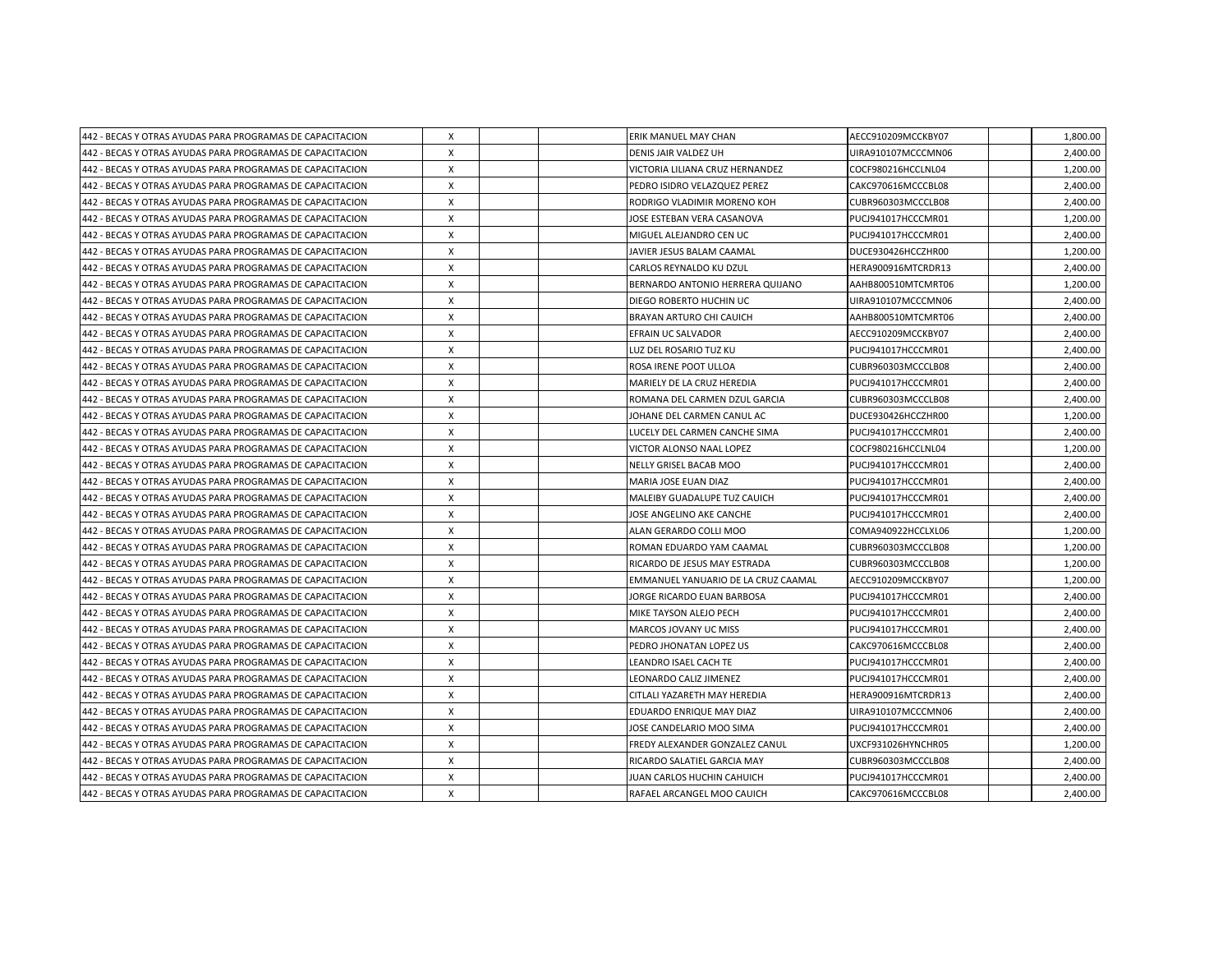| 442 - BECAS Y OTRAS AYUDAS PARA PROGRAMAS DE CAPACITACION | Χ            |  | ERIK MANUEL MAY CHAN                | AECC910209MCCKBY07 | 1,800.00 |
|-----------------------------------------------------------|--------------|--|-------------------------------------|--------------------|----------|
| 442 - BECAS Y OTRAS AYUDAS PARA PROGRAMAS DE CAPACITACION | X            |  | DENIS JAIR VALDEZ UH                | UIRA910107MCCCMN06 | 2,400.00 |
| 442 - BECAS Y OTRAS AYUDAS PARA PROGRAMAS DE CAPACITACION | X            |  | VICTORIA LILIANA CRUZ HERNANDEZ     | COCF980216HCCLNL04 | 1,200.00 |
| 442 - BECAS Y OTRAS AYUDAS PARA PROGRAMAS DE CAPACITACION | X            |  | PEDRO ISIDRO VELAZQUEZ PEREZ        | CAKC970616MCCCBL08 | 2,400.00 |
| 442 - BECAS Y OTRAS AYUDAS PARA PROGRAMAS DE CAPACITACION | X            |  | RODRIGO VLADIMIR MORENO KOH         | CUBR960303MCCCLB08 | 2,400.00 |
| 442 - BECAS Y OTRAS AYUDAS PARA PROGRAMAS DE CAPACITACION | X            |  | JOSE ESTEBAN VERA CASANOVA          | PUCJ941017HCCCMR01 | 1,200.00 |
| 442 - BECAS Y OTRAS AYUDAS PARA PROGRAMAS DE CAPACITACION | X            |  | MIGUEL ALEJANDRO CEN UC             | PUCJ941017HCCCMR01 | 2,400.00 |
| 442 - BECAS Y OTRAS AYUDAS PARA PROGRAMAS DE CAPACITACION | X            |  | JAVIER JESUS BALAM CAAMAL           | DUCE930426HCCZHR00 | 1,200.00 |
| 442 - BECAS Y OTRAS AYUDAS PARA PROGRAMAS DE CAPACITACION | X            |  | <b>CARLOS REYNALDO KU DZUL</b>      | HERA900916MTCRDR13 | 2,400.00 |
| 442 - BECAS Y OTRAS AYUDAS PARA PROGRAMAS DE CAPACITACION | X            |  | BERNARDO ANTONIO HERRERA QUIJANO    | AAHB800510MTCMRT06 | 1,200.00 |
| 442 - BECAS Y OTRAS AYUDAS PARA PROGRAMAS DE CAPACITACION | X            |  | DIEGO ROBERTO HUCHIN UC             | UIRA910107MCCCMN06 | 2,400.00 |
| 442 - BECAS Y OTRAS AYUDAS PARA PROGRAMAS DE CAPACITACION | X            |  | <b>BRAYAN ARTURO CHI CAUICH</b>     | AAHB800510MTCMRT06 | 2,400.00 |
| 442 - BECAS Y OTRAS AYUDAS PARA PROGRAMAS DE CAPACITACION | X            |  | EFRAIN UC SALVADOR                  | AECC910209MCCKBY07 | 2,400.00 |
| 442 - BECAS Y OTRAS AYUDAS PARA PROGRAMAS DE CAPACITACION | X            |  | LUZ DEL ROSARIO TUZ KU              | PUCJ941017HCCCMR01 | 2,400.00 |
| 442 - BECAS Y OTRAS AYUDAS PARA PROGRAMAS DE CAPACITACION | X            |  | ROSA IRENE POOT ULLOA               | CUBR960303MCCCLB08 | 2,400.00 |
| 442 - BECAS Y OTRAS AYUDAS PARA PROGRAMAS DE CAPACITACION | X            |  | MARIELY DE LA CRUZ HEREDIA          | PUCJ941017HCCCMR01 | 2,400.00 |
| 442 - BECAS Y OTRAS AYUDAS PARA PROGRAMAS DE CAPACITACION | X            |  | ROMANA DEL CARMEN DZUL GARCIA       | CUBR960303MCCCLB08 | 2,400.00 |
| 442 - BECAS Y OTRAS AYUDAS PARA PROGRAMAS DE CAPACITACION | X            |  | JOHANE DEL CARMEN CANUL AC          | DUCE930426HCCZHR00 | 1.200.00 |
| 442 - BECAS Y OTRAS AYUDAS PARA PROGRAMAS DE CAPACITACION | X            |  | LUCELY DEL CARMEN CANCHE SIMA       | PUCJ941017HCCCMR01 | 2,400.00 |
| 442 - BECAS Y OTRAS AYUDAS PARA PROGRAMAS DE CAPACITACION | X            |  | VICTOR ALONSO NAAL LOPEZ            | COCF980216HCCLNL04 | 1,200.00 |
| 442 - BECAS Y OTRAS AYUDAS PARA PROGRAMAS DE CAPACITACION | X            |  | NELLY GRISEL BACAB MOO              | PUCJ941017HCCCMR01 | 2,400.00 |
| 442 - BECAS Y OTRAS AYUDAS PARA PROGRAMAS DE CAPACITACION | X            |  | MARIA JOSE EUAN DIAZ                | PUCJ941017HCCCMR01 | 2.400.00 |
| 442 - BECAS Y OTRAS AYUDAS PARA PROGRAMAS DE CAPACITACION | X            |  | MALEIBY GUADALUPE TUZ CAUICH        | PUCJ941017HCCCMR01 | 2,400.00 |
| 442 - BECAS Y OTRAS AYUDAS PARA PROGRAMAS DE CAPACITACION | X            |  | JOSE ANGELINO AKE CANCHE            | PUCJ941017HCCCMR01 | 2,400.00 |
| 442 - BECAS Y OTRAS AYUDAS PARA PROGRAMAS DE CAPACITACION | X            |  | ALAN GERARDO COLLI MOO              | COMA940922HCCLXL06 | 1,200.00 |
| 442 - BECAS Y OTRAS AYUDAS PARA PROGRAMAS DE CAPACITACION | X            |  | ROMAN EDUARDO YAM CAAMAL            | CUBR960303MCCCLB08 | 1,200.00 |
| 442 - BECAS Y OTRAS AYUDAS PARA PROGRAMAS DE CAPACITACION | X            |  | RICARDO DE JESUS MAY ESTRADA        | CUBR960303MCCCLB08 | 1,200.00 |
| 442 - BECAS Y OTRAS AYUDAS PARA PROGRAMAS DE CAPACITACION | X            |  | EMMANUEL YANUARIO DE LA CRUZ CAAMAL | AECC910209MCCKBY07 | 1,200.00 |
| 442 - BECAS Y OTRAS AYUDAS PARA PROGRAMAS DE CAPACITACION | X            |  | JORGE RICARDO EUAN BARBOSA          | PUCJ941017HCCCMR01 | 2,400.00 |
| 442 - BECAS Y OTRAS AYUDAS PARA PROGRAMAS DE CAPACITACION | X            |  | MIKE TAYSON ALEJO PECH              | PUCJ941017HCCCMR01 | 2.400.00 |
| 442 - BECAS Y OTRAS AYUDAS PARA PROGRAMAS DE CAPACITACION | X            |  | <b>MARCOS JOVANY UC MISS</b>        | PUCJ941017HCCCMR01 | 2.400.00 |
| 442 - BECAS Y OTRAS AYUDAS PARA PROGRAMAS DE CAPACITACION | Χ            |  | PEDRO JHONATAN LOPEZ US             | CAKC970616MCCCBL08 | 2,400.00 |
| 442 - BECAS Y OTRAS AYUDAS PARA PROGRAMAS DE CAPACITACION | X            |  | LEANDRO ISAEL CACH TE               | PUCJ941017HCCCMR01 | 2,400.00 |
| 442 - BECAS Y OTRAS AYUDAS PARA PROGRAMAS DE CAPACITACION | X            |  | LEONARDO CALIZ JIMENEZ              | PUCJ941017HCCCMR01 | 2,400.00 |
| 442 - BECAS Y OTRAS AYUDAS PARA PROGRAMAS DE CAPACITACION | Χ            |  | CITLALI YAZARETH MAY HEREDIA        | HERA900916MTCRDR13 | 2,400.00 |
| 442 - BECAS Y OTRAS AYUDAS PARA PROGRAMAS DE CAPACITACION | Χ            |  | EDUARDO ENRIQUE MAY DIAZ            | UIRA910107MCCCMN06 | 2,400.00 |
| 442 - BECAS Y OTRAS AYUDAS PARA PROGRAMAS DE CAPACITACION | X            |  | JOSE CANDELARIO MOO SIMA            | PUCJ941017HCCCMR01 | 2,400.00 |
| 442 - BECAS Y OTRAS AYUDAS PARA PROGRAMAS DE CAPACITACION | X            |  | FREDY ALEXANDER GONZALEZ CANUL      | UXCF931026HYNCHR05 | 1,200.00 |
| 442 - BECAS Y OTRAS AYUDAS PARA PROGRAMAS DE CAPACITACION | X            |  | RICARDO SALATIEL GARCIA MAY         | CUBR960303MCCCLB08 | 2,400.00 |
| 442 - BECAS Y OTRAS AYUDAS PARA PROGRAMAS DE CAPACITACION | X            |  | JUAN CARLOS HUCHIN CAHUICH          | PUCJ941017HCCCMR01 | 2,400.00 |
| 442 - BECAS Y OTRAS AYUDAS PARA PROGRAMAS DE CAPACITACION | $\mathsf{x}$ |  | RAFAEL ARCANGEL MOO CAUICH          | CAKC970616MCCCBL08 | 2,400.00 |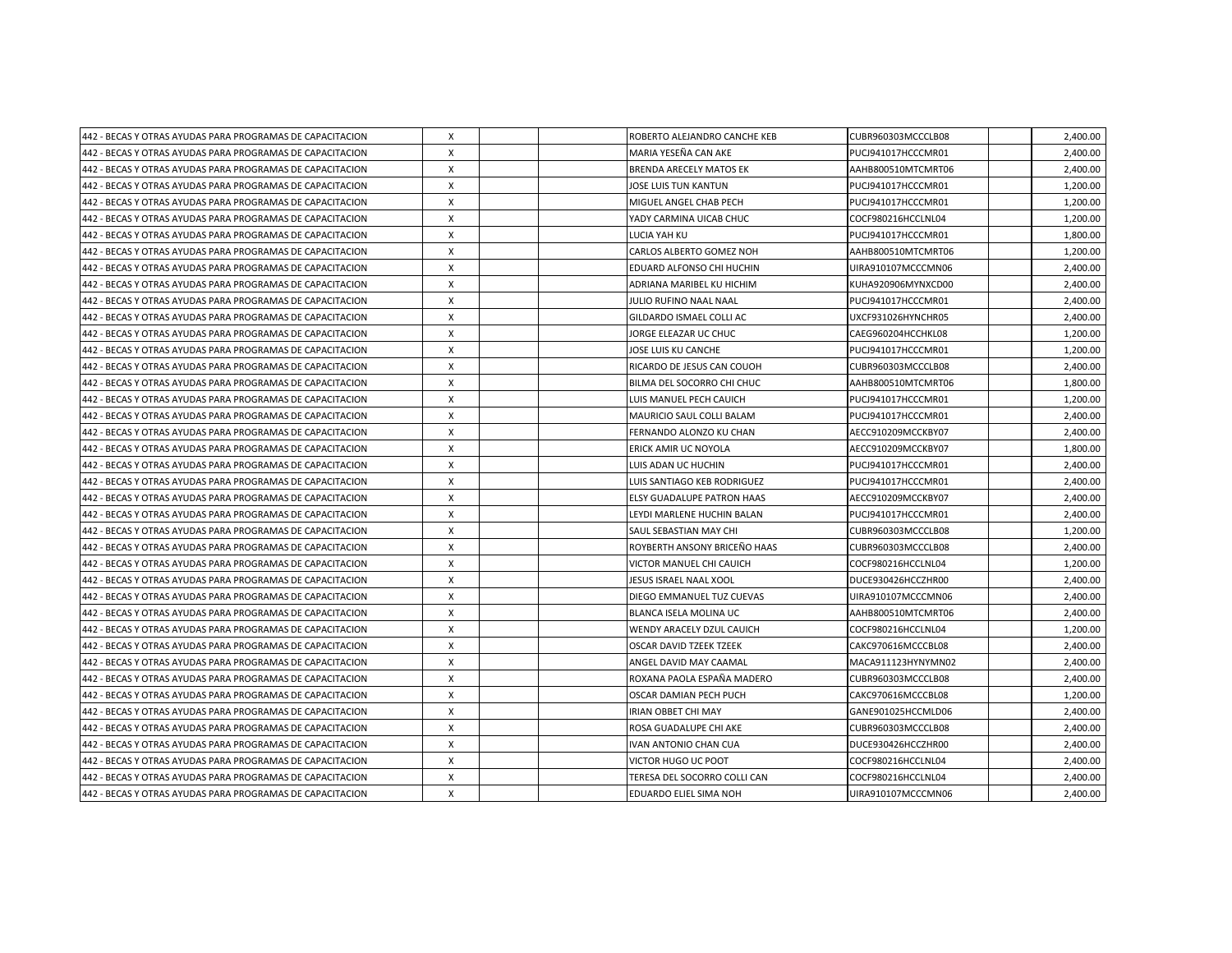| 442 - BECAS Y OTRAS AYUDAS PARA PROGRAMAS DE CAPACITACION | Х |  | ROBERTO ALEJANDRO CANCHE KEB      | CUBR960303MCCCLB08 | 2,400.00 |
|-----------------------------------------------------------|---|--|-----------------------------------|--------------------|----------|
| 442 - BECAS Y OTRAS AYUDAS PARA PROGRAMAS DE CAPACITACION | X |  | MARIA YESEÑA CAN AKE              | PUCJ941017HCCCMR01 | 2,400.00 |
| 442 - BECAS Y OTRAS AYUDAS PARA PROGRAMAS DE CAPACITACION | X |  | <b>BRENDA ARECELY MATOS EK</b>    | AAHB800510MTCMRT06 | 2,400.00 |
| 442 - BECAS Y OTRAS AYUDAS PARA PROGRAMAS DE CAPACITACION | X |  | JOSE LUIS TUN KANTUN              | PUCJ941017HCCCMR01 | 1,200.00 |
| 442 - BECAS Y OTRAS AYUDAS PARA PROGRAMAS DE CAPACITACION | X |  | MIGUEL ANGEL CHAB PECH            | PUCJ941017HCCCMR01 | 1,200.00 |
| 442 - BECAS Y OTRAS AYUDAS PARA PROGRAMAS DE CAPACITACION | X |  | YADY CARMINA UICAB CHUC           | COCF980216HCCLNL04 | 1,200.00 |
| 442 - BECAS Y OTRAS AYUDAS PARA PROGRAMAS DE CAPACITACION | Χ |  | <b>LUCIA YAH KU</b>               | PUCJ941017HCCCMR01 | 1,800.00 |
| 442 - BECAS Y OTRAS AYUDAS PARA PROGRAMAS DE CAPACITACION | X |  | CARLOS ALBERTO GOMEZ NOH          | AAHB800510MTCMRT06 | 1,200.00 |
| 442 - BECAS Y OTRAS AYUDAS PARA PROGRAMAS DE CAPACITACION | X |  | EDUARD ALFONSO CHI HUCHIN         | UIRA910107MCCCMN06 | 2,400.00 |
| 442 - BECAS Y OTRAS AYUDAS PARA PROGRAMAS DE CAPACITACION | X |  | ADRIANA MARIBEL KU HICHIM         | KUHA920906MYNXCD00 | 2,400.00 |
| 442 - BECAS Y OTRAS AYUDAS PARA PROGRAMAS DE CAPACITACION | X |  | JULIO RUFINO NAAL NAAL            | PUCJ941017HCCCMR01 | 2,400.00 |
| 442 - BECAS Y OTRAS AYUDAS PARA PROGRAMAS DE CAPACITACION | X |  | GILDARDO ISMAEL COLLI AC          | UXCF931026HYNCHR05 | 2,400.00 |
| 442 - BECAS Y OTRAS AYUDAS PARA PROGRAMAS DE CAPACITACION | X |  | JORGE ELEAZAR UC CHUC             | CAEG960204HCCHKL08 | 1,200.00 |
| 442 - BECAS Y OTRAS AYUDAS PARA PROGRAMAS DE CAPACITACION | X |  | JOSE LUIS KU CANCHE               | PUCJ941017HCCCMR01 | 1,200.00 |
| 442 - BECAS Y OTRAS AYUDAS PARA PROGRAMAS DE CAPACITACION | X |  | RICARDO DE JESUS CAN COUOH        | CUBR960303MCCCLB08 | 2,400.00 |
| 442 - BECAS Y OTRAS AYUDAS PARA PROGRAMAS DE CAPACITACION | X |  | BILMA DEL SOCORRO CHI CHUC        | AAHB800510MTCMRT06 | 1,800.00 |
| 442 - BECAS Y OTRAS AYUDAS PARA PROGRAMAS DE CAPACITACION | Χ |  | LUIS MANUEL PECH CAUICH           | PUCJ941017HCCCMR01 | 1,200.00 |
| 442 - BECAS Y OTRAS AYUDAS PARA PROGRAMAS DE CAPACITACION | X |  | <b>MAURICIO SAUL COLLI BALAM</b>  | PUCJ941017HCCCMR01 | 2,400.00 |
| 442 - BECAS Y OTRAS AYUDAS PARA PROGRAMAS DE CAPACITACION | X |  | FERNANDO ALONZO KU CHAN           | AECC910209MCCKBY07 | 2.400.00 |
| 442 - BECAS Y OTRAS AYUDAS PARA PROGRAMAS DE CAPACITACION | X |  | ERICK AMIR UC NOYOLA              | AECC910209MCCKBY07 | 1,800.00 |
| 442 - BECAS Y OTRAS AYUDAS PARA PROGRAMAS DE CAPACITACION | X |  | LUIS ADAN UC HUCHIN               | PUCJ941017HCCCMR01 | 2,400.00 |
| 442 - BECAS Y OTRAS AYUDAS PARA PROGRAMAS DE CAPACITACION | X |  | LUIS SANTIAGO KEB RODRIGUEZ       | PUCJ941017HCCCMR01 | 2,400.00 |
| 442 - BECAS Y OTRAS AYUDAS PARA PROGRAMAS DE CAPACITACION | Χ |  | <b>ELSY GUADALUPE PATRON HAAS</b> | AECC910209MCCKBY07 | 2,400.00 |
| 442 - BECAS Y OTRAS AYUDAS PARA PROGRAMAS DE CAPACITACION | X |  | LEYDI MARLENE HUCHIN BALAN        | PUCJ941017HCCCMR01 | 2,400.00 |
| 442 - BECAS Y OTRAS AYUDAS PARA PROGRAMAS DE CAPACITACION | X |  | SAUL SEBASTIAN MAY CHI            | CUBR960303MCCCLB08 | 1,200.00 |
| 442 - BECAS Y OTRAS AYUDAS PARA PROGRAMAS DE CAPACITACION | X |  | ROYBERTH ANSONY BRICEÑO HAAS      | CUBR960303MCCCLB08 | 2,400.00 |
| 442 - BECAS Y OTRAS AYUDAS PARA PROGRAMAS DE CAPACITACION | X |  | VICTOR MANUEL CHI CAUICH          | COCF980216HCCLNL04 | 1,200.00 |
| 442 - BECAS Y OTRAS AYUDAS PARA PROGRAMAS DE CAPACITACION | X |  | JESUS ISRAEL NAAL XOOL            | DUCE930426HCCZHR00 | 2,400.00 |
| 442 - BECAS Y OTRAS AYUDAS PARA PROGRAMAS DE CAPACITACION | Χ |  | DIEGO EMMANUEL TUZ CUEVAS         | UIRA910107MCCCMN06 | 2,400.00 |
| 442 - BECAS Y OTRAS AYUDAS PARA PROGRAMAS DE CAPACITACION | Χ |  | BLANCA ISELA MOLINA UC            | AAHB800510MTCMRT06 | 2,400.00 |
| 442 - BECAS Y OTRAS AYUDAS PARA PROGRAMAS DE CAPACITACION | X |  | WENDY ARACELY DZUL CAUICH         | COCF980216HCCLNL04 | 1,200.00 |
| 442 - BECAS Y OTRAS AYUDAS PARA PROGRAMAS DE CAPACITACION | X |  | <b>OSCAR DAVID TZEEK TZEEK</b>    | CAKC970616MCCCBL08 | 2,400.00 |
| 442 - BECAS Y OTRAS AYUDAS PARA PROGRAMAS DE CAPACITACION | Χ |  | ANGEL DAVID MAY CAAMAL            | MACA911123HYNYMN02 | 2,400.00 |
| 442 - BECAS Y OTRAS AYUDAS PARA PROGRAMAS DE CAPACITACION | X |  | ROXANA PAOLA ESPAÑA MADERO        | CUBR960303MCCCLB08 | 2,400.00 |
| 442 - BECAS Y OTRAS AYUDAS PARA PROGRAMAS DE CAPACITACION | X |  | OSCAR DAMIAN PECH PUCH            | CAKC970616MCCCBL08 | 1,200.00 |
| 442 - BECAS Y OTRAS AYUDAS PARA PROGRAMAS DE CAPACITACION | Χ |  | <b>IRIAN OBBET CHI MAY</b>        | GANE901025HCCMLD06 | 2,400.00 |
| 442 - BECAS Y OTRAS AYUDAS PARA PROGRAMAS DE CAPACITACION | X |  | ROSA GUADALUPE CHI AKE            | CUBR960303MCCCLB08 | 2,400.00 |
| 442 - BECAS Y OTRAS AYUDAS PARA PROGRAMAS DE CAPACITACION | X |  | <b>IVAN ANTONIO CHAN CUA</b>      | DUCE930426HCCZHR00 | 2,400.00 |
| 442 - BECAS Y OTRAS AYUDAS PARA PROGRAMAS DE CAPACITACION | X |  | <b>VICTOR HUGO UC POOT</b>        | COCF980216HCCLNL04 | 2,400.00 |
| 442 - BECAS Y OTRAS AYUDAS PARA PROGRAMAS DE CAPACITACION | X |  | TERESA DEL SOCORRO COLLI CAN      | COCF980216HCCLNL04 | 2,400.00 |
| 442 - BECAS Y OTRAS AYUDAS PARA PROGRAMAS DE CAPACITACION | X |  | EDUARDO ELIEL SIMA NOH            | UIRA910107MCCCMN06 | 2,400.00 |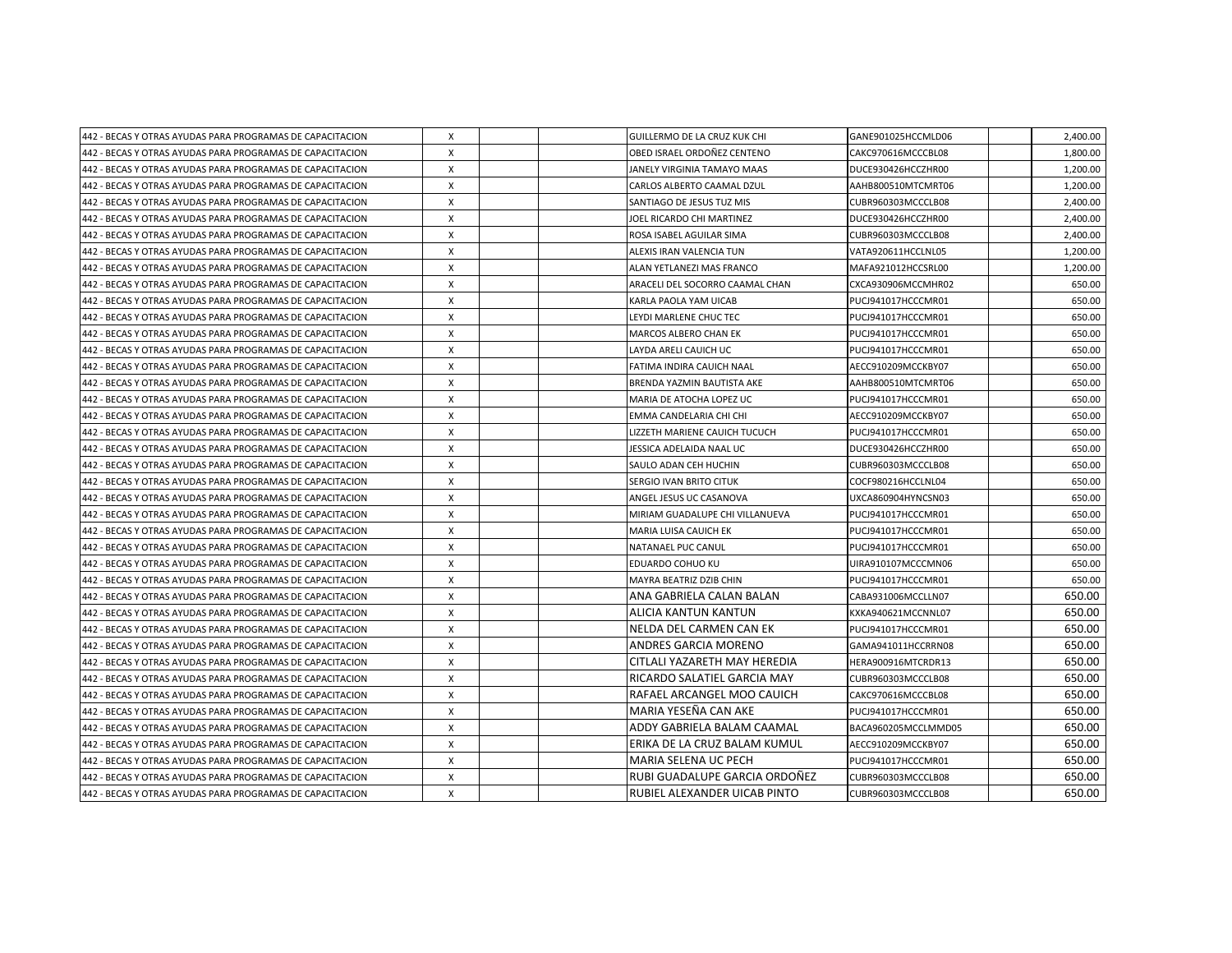| 442 - BECAS Y OTRAS AYUDAS PARA PROGRAMAS DE CAPACITACION | Х            |  | GUILLERMO DE LA CRUZ KUK CHI    | GANE901025HCCMLD06  | 2,400.00 |
|-----------------------------------------------------------|--------------|--|---------------------------------|---------------------|----------|
| 442 - BECAS Y OTRAS AYUDAS PARA PROGRAMAS DE CAPACITACION | X            |  | OBED ISRAEL ORDOÑEZ CENTENO     | CAKC970616MCCCBL08  | 1.800.00 |
| 442 - BECAS Y OTRAS AYUDAS PARA PROGRAMAS DE CAPACITACION | X            |  | JANELY VIRGINIA TAMAYO MAAS     | DUCE930426HCCZHR00  | 1,200.00 |
| 442 - BECAS Y OTRAS AYUDAS PARA PROGRAMAS DE CAPACITACION | X            |  | CARLOS ALBERTO CAAMAL DZUL      | AAHB800510MTCMRT06  | 1,200.00 |
| 442 - BECAS Y OTRAS AYUDAS PARA PROGRAMAS DE CAPACITACION | X            |  | SANTIAGO DE JESUS TUZ MIS       | CUBR960303MCCCLB08  | 2,400.00 |
| 442 - BECAS Y OTRAS AYUDAS PARA PROGRAMAS DE CAPACITACION | Χ            |  | JOEL RICARDO CHI MARTINEZ       | DUCE930426HCCZHR00  | 2,400.00 |
| 442 - BECAS Y OTRAS AYUDAS PARA PROGRAMAS DE CAPACITACION | X            |  | ROSA ISABEL AGUILAR SIMA        | CUBR960303MCCCLB08  | 2,400.00 |
| 442 - BECAS Y OTRAS AYUDAS PARA PROGRAMAS DE CAPACITACION | $\mathsf{x}$ |  | ALEXIS IRAN VALENCIA TUN        | VATA920611HCCLNL05  | 1,200.00 |
| 442 - BECAS Y OTRAS AYUDAS PARA PROGRAMAS DE CAPACITACION | X            |  | ALAN YETLANEZI MAS FRANCO       | MAFA921012HCCSRL00  | 1,200.00 |
| 442 - BECAS Y OTRAS AYUDAS PARA PROGRAMAS DE CAPACITACION | X            |  | ARACELI DEL SOCORRO CAAMAL CHAN | CXCA930906MCCMHR02  | 650.00   |
| 442 - BECAS Y OTRAS AYUDAS PARA PROGRAMAS DE CAPACITACION | X            |  | KARLA PAOLA YAM UICAB           | PUCJ941017HCCCMR01  | 650.00   |
| 442 - BECAS Y OTRAS AYUDAS PARA PROGRAMAS DE CAPACITACION | Х            |  | LEYDI MARLENE CHUC TEC          | PUCJ941017HCCCMR01  | 650.00   |
| 442 - BECAS Y OTRAS AYUDAS PARA PROGRAMAS DE CAPACITACION | X            |  | <b>MARCOS ALBERO CHAN EK</b>    | PUCJ941017HCCCMR01  | 650.00   |
| 442 - BECAS Y OTRAS AYUDAS PARA PROGRAMAS DE CAPACITACION | X            |  | LAYDA ARELI CAUICH UC           | PUCJ941017HCCCMR01  | 650.00   |
| 442 - BECAS Y OTRAS AYUDAS PARA PROGRAMAS DE CAPACITACION | X            |  | FATIMA INDIRA CAUICH NAAL       | AECC910209MCCKBY07  | 650.00   |
| 442 - BECAS Y OTRAS AYUDAS PARA PROGRAMAS DE CAPACITACION | X            |  | BRENDA YAZMIN BAUTISTA AKE      | AAHB800510MTCMRT06  | 650.00   |
| 442 - BECAS Y OTRAS AYUDAS PARA PROGRAMAS DE CAPACITACION | X            |  | MARIA DE ATOCHA LOPEZ UC        | PUCJ941017HCCCMR01  | 650.00   |
| 442 - BECAS Y OTRAS AYUDAS PARA PROGRAMAS DE CAPACITACION | $\mathsf{x}$ |  | EMMA CANDELARIA CHI CHI         | AECC910209MCCKBY07  | 650.00   |
| 442 - BECAS Y OTRAS AYUDAS PARA PROGRAMAS DE CAPACITACION | X            |  | LIZZETH MARIENE CAUICH TUCUCH   | PUCJ941017HCCCMR01  | 650.00   |
| 442 - BECAS Y OTRAS AYUDAS PARA PROGRAMAS DE CAPACITACION | X            |  | JESSICA ADELAIDA NAAL UC        | DUCE930426HCCZHR00  | 650.00   |
| 442 - BECAS Y OTRAS AYUDAS PARA PROGRAMAS DE CAPACITACION | X            |  | SAULO ADAN CEH HUCHIN           | CUBR960303MCCCLB08  | 650.00   |
| 442 - BECAS Y OTRAS AYUDAS PARA PROGRAMAS DE CAPACITACION | X            |  | SERGIO IVAN BRITO CITUK         | COCF980216HCCLNL04  | 650.00   |
| 442 - BECAS Y OTRAS AYUDAS PARA PROGRAMAS DE CAPACITACION | X            |  | ANGEL JESUS UC CASANOVA         | UXCA860904HYNCSN03  | 650.00   |
| 442 - BECAS Y OTRAS AYUDAS PARA PROGRAMAS DE CAPACITACION | X            |  | MIRIAM GUADALUPE CHI VILLANUEVA | PUCJ941017HCCCMR01  | 650.00   |
| 442 - BECAS Y OTRAS AYUDAS PARA PROGRAMAS DE CAPACITACION | X            |  | MARIA LUISA CAUICH EK           | PUCJ941017HCCCMR01  | 650.00   |
| 442 - BECAS Y OTRAS AYUDAS PARA PROGRAMAS DE CAPACITACION | X            |  | NATANAEL PUC CANUL              | PUCJ941017HCCCMR01  | 650.00   |
| 442 - BECAS Y OTRAS AYUDAS PARA PROGRAMAS DE CAPACITACION | X            |  | EDUARDO COHUO KU                | UIRA910107MCCCMN06  | 650.00   |
| 442 - BECAS Y OTRAS AYUDAS PARA PROGRAMAS DE CAPACITACION | x            |  | MAYRA BEATRIZ DZIB CHIN         | PUCJ941017HCCCMR01  | 650.00   |
| 442 - BECAS Y OTRAS AYUDAS PARA PROGRAMAS DE CAPACITACION | X            |  | ANA GABRIELA CALAN BALAN        | CABA931006MCCLLN07  | 650.00   |
| 442 - BECAS Y OTRAS AYUDAS PARA PROGRAMAS DE CAPACITACION | X            |  | ALICIA KANTUN KANTUN            | KXKA940621MCCNNL07  | 650.00   |
| 442 - BECAS Y OTRAS AYUDAS PARA PROGRAMAS DE CAPACITACION | x            |  | NELDA DEL CARMEN CAN EK         | PUCJ941017HCCCMR01  | 650.00   |
| 442 - BECAS Y OTRAS AYUDAS PARA PROGRAMAS DE CAPACITACION | X            |  | <b>ANDRES GARCIA MORENO</b>     | GAMA941011HCCRRN08  | 650.00   |
| 442 - BECAS Y OTRAS AYUDAS PARA PROGRAMAS DE CAPACITACION | X            |  | CITLALI YAZARETH MAY HEREDIA    | HERA900916MTCRDR13  | 650.00   |
| 442 - BECAS Y OTRAS AYUDAS PARA PROGRAMAS DE CAPACITACION | X            |  | IRICARDO SALATIEL GARCIA MAY    | CUBR960303MCCCLB08  | 650.00   |
| 442 - BECAS Y OTRAS AYUDAS PARA PROGRAMAS DE CAPACITACION | Х            |  | RAFAEL ARCANGEL MOO CAUICH      | CAKC970616MCCCBL08  | 650.00   |
| 442 - BECAS Y OTRAS AYUDAS PARA PROGRAMAS DE CAPACITACION | X            |  | MARIA YESEÑA CAN AKE            | PUCJ941017HCCCMR01  | 650.00   |
| 442 - BECAS Y OTRAS AYUDAS PARA PROGRAMAS DE CAPACITACION | X            |  | ADDY GABRIELA BALAM CAAMAL      | BACA960205MCCLMMD05 | 650.00   |
| 442 - BECAS Y OTRAS AYUDAS PARA PROGRAMAS DE CAPACITACION | X            |  | ERIKA DE LA CRUZ BALAM KUMUL    | AECC910209MCCKBY07  | 650.00   |
| 442 - BECAS Y OTRAS AYUDAS PARA PROGRAMAS DE CAPACITACION | X            |  | MARIA SELENA UC PECH            | PUCJ941017HCCCMR01  | 650.00   |
| 442 - BECAS Y OTRAS AYUDAS PARA PROGRAMAS DE CAPACITACION | X            |  | RUBI GUADALUPE GARCIA ORDOÑEZ   | CUBR960303MCCCLB08  | 650.00   |
| 442 - BECAS Y OTRAS AYUDAS PARA PROGRAMAS DE CAPACITACION | X            |  | RUBIEL ALEXANDER UICAB PINTO    | CUBR960303MCCCLB08  | 650.00   |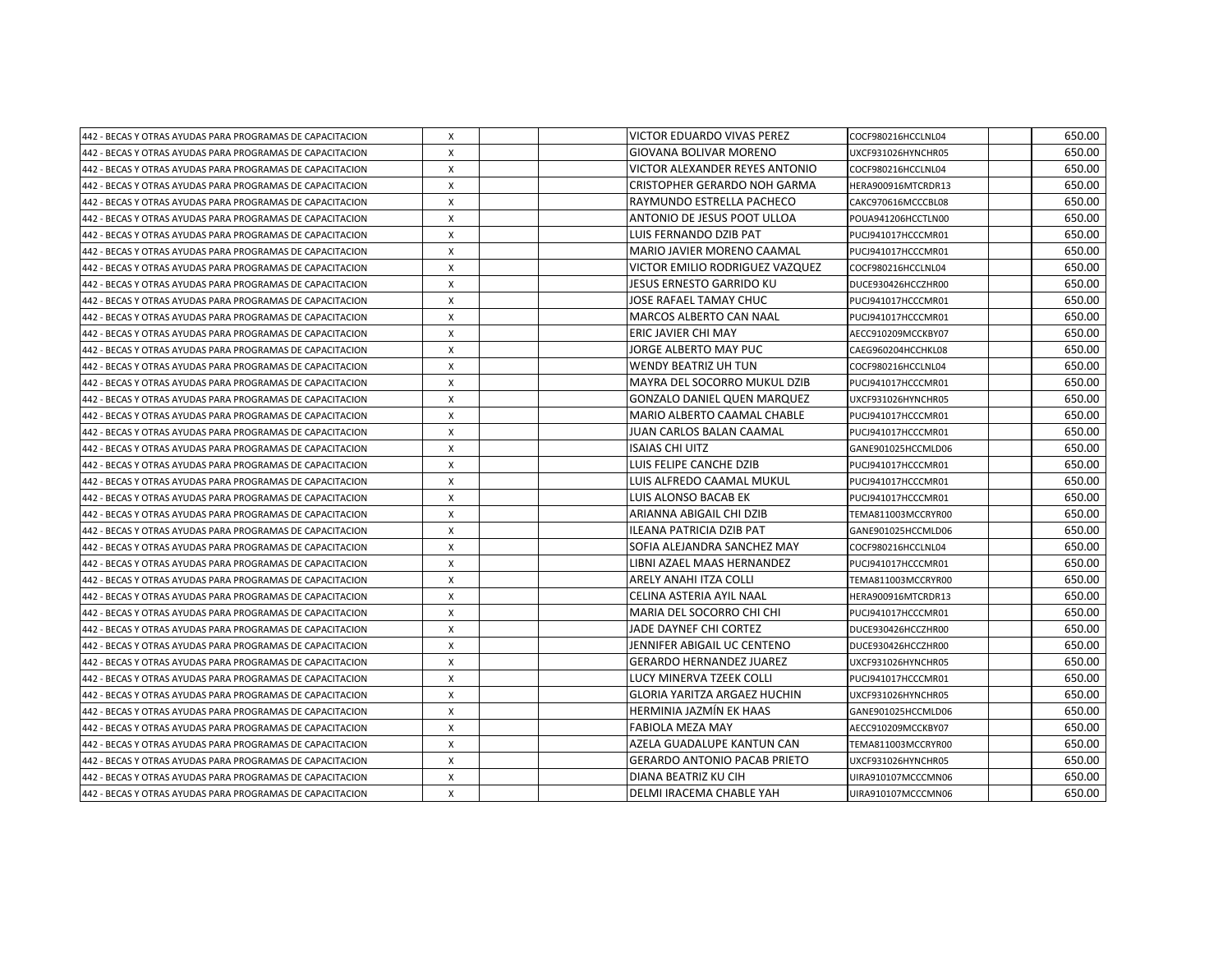| 442 - BECAS Y OTRAS AYUDAS PARA PROGRAMAS DE CAPACITACION | Х | VICTOR EDUARDO VIVAS PEREZ          | COCF980216HCCLNL04 | 650.00 |
|-----------------------------------------------------------|---|-------------------------------------|--------------------|--------|
| 442 - BECAS Y OTRAS AYUDAS PARA PROGRAMAS DE CAPACITACION | X | <b>GIOVANA BOLIVAR MORENO</b>       | UXCF931026HYNCHR05 | 650.00 |
| 442 - BECAS Y OTRAS AYUDAS PARA PROGRAMAS DE CAPACITACION | X | VICTOR ALEXANDER REYES ANTONIO      | COCF980216HCCLNL04 | 650.00 |
| 442 - BECAS Y OTRAS AYUDAS PARA PROGRAMAS DE CAPACITACION | X | CRISTOPHER GERARDO NOH GARMA        | HERA900916MTCRDR13 | 650.00 |
| 442 - BECAS Y OTRAS AYUDAS PARA PROGRAMAS DE CAPACITACION | X | RAYMUNDO ESTRELLA PACHECO           | CAKC970616MCCCBL08 | 650.00 |
| 442 - BECAS Y OTRAS AYUDAS PARA PROGRAMAS DE CAPACITACION | X | ANTONIO DE JESUS POOT ULLOA         | POUA941206HCCTLN00 | 650.00 |
| 442 - BECAS Y OTRAS AYUDAS PARA PROGRAMAS DE CAPACITACION | X | LUIS FERNANDO DZIB PAT              | PUCJ941017HCCCMR01 | 650.00 |
| 442 - BECAS Y OTRAS AYUDAS PARA PROGRAMAS DE CAPACITACION | X | MARIO JAVIER MORENO CAAMAL          | PUCJ941017HCCCMR01 | 650.00 |
| 442 - BECAS Y OTRAS AYUDAS PARA PROGRAMAS DE CAPACITACION | X | VICTOR EMILIO RODRIGUEZ VAZQUEZ     | COCF980216HCCLNL04 | 650.00 |
| 442 - BECAS Y OTRAS AYUDAS PARA PROGRAMAS DE CAPACITACION | X | JESUS ERNESTO GARRIDO KU            | DUCE930426HCCZHR00 | 650.00 |
| 442 - BECAS Y OTRAS AYUDAS PARA PROGRAMAS DE CAPACITACION | X | JOSE RAFAEL TAMAY CHUC              | PUCJ941017HCCCMR01 | 650.00 |
| 442 - BECAS Y OTRAS AYUDAS PARA PROGRAMAS DE CAPACITACION | X | <b>MARCOS ALBERTO CAN NAAL</b>      | PUCJ941017HCCCMR01 | 650.00 |
| 442 - BECAS Y OTRAS AYUDAS PARA PROGRAMAS DE CAPACITACION | Χ | ERIC JAVIER CHI MAY                 | AECC910209MCCKBY07 | 650.00 |
| 442 - BECAS Y OTRAS AYUDAS PARA PROGRAMAS DE CAPACITACION | X | JORGE ALBERTO MAY PUC               | CAEG960204HCCHKL08 | 650.00 |
| 442 - BECAS Y OTRAS AYUDAS PARA PROGRAMAS DE CAPACITACION | X | <b>WENDY BEATRIZ UH TUN</b>         | COCF980216HCCLNL04 | 650.00 |
| 442 - BECAS Y OTRAS AYUDAS PARA PROGRAMAS DE CAPACITACION | Х | MAYRA DEL SOCORRO MUKUL DZIB        | PUCJ941017HCCCMR01 | 650.00 |
| 442 - BECAS Y OTRAS AYUDAS PARA PROGRAMAS DE CAPACITACION | X | <b>GONZALO DANIEL QUEN MARQUEZ</b>  | UXCF931026HYNCHR05 | 650.00 |
| 442 - BECAS Y OTRAS AYUDAS PARA PROGRAMAS DE CAPACITACION | X | MARIO ALBERTO CAAMAL CHABLE         | PUCJ941017HCCCMR01 | 650.00 |
| 442 - BECAS Y OTRAS AYUDAS PARA PROGRAMAS DE CAPACITACION | X | JUAN CARLOS BALAN CAAMAL            | PUCJ941017HCCCMR01 | 650.00 |
| 442 - BECAS Y OTRAS AYUDAS PARA PROGRAMAS DE CAPACITACION | X | ISAIAS CHI UITZ                     | GANE901025HCCMLD06 | 650.00 |
| 442 - BECAS Y OTRAS AYUDAS PARA PROGRAMAS DE CAPACITACION | X | LUIS FELIPE CANCHE DZIB             | PUCJ941017HCCCMR01 | 650.00 |
| 442 - BECAS Y OTRAS AYUDAS PARA PROGRAMAS DE CAPACITACION | X | LUIS ALFREDO CAAMAL MUKUL           | PUCJ941017HCCCMR01 | 650.00 |
| 442 - BECAS Y OTRAS AYUDAS PARA PROGRAMAS DE CAPACITACION | X | LUIS ALONSO BACAB EK                | PUCJ941017HCCCMR01 | 650.00 |
| 442 - BECAS Y OTRAS AYUDAS PARA PROGRAMAS DE CAPACITACION | X | ARIANNA ABIGAIL CHI DZIB            | TEMA811003MCCRYR00 | 650.00 |
| 442 - BECAS Y OTRAS AYUDAS PARA PROGRAMAS DE CAPACITACION | X | ILEANA PATRICIA DZIB PAT            | GANE901025HCCMLD06 | 650.00 |
| 442 - BECAS Y OTRAS AYUDAS PARA PROGRAMAS DE CAPACITACION | X | SOFIA ALEJANDRA SANCHEZ MAY         | COCF980216HCCLNL04 | 650.00 |
| 442 - BECAS Y OTRAS AYUDAS PARA PROGRAMAS DE CAPACITACION | X | LIBNI AZAEL MAAS HERNANDEZ          | PUCJ941017HCCCMR01 | 650.00 |
| 442 - BECAS Y OTRAS AYUDAS PARA PROGRAMAS DE CAPACITACION | Χ | ARELY ANAHI ITZA COLLI              | TEMA811003MCCRYR00 | 650.00 |
| 442 - BECAS Y OTRAS AYUDAS PARA PROGRAMAS DE CAPACITACION | Χ | CELINA ASTERIA AYIL NAAL            | HERA900916MTCRDR13 | 650.00 |
| 442 - BECAS Y OTRAS AYUDAS PARA PROGRAMAS DE CAPACITACION | X | MARIA DEL SOCORRO CHI CHI           | PUCJ941017HCCCMR01 | 650.00 |
| 442 - BECAS Y OTRAS AYUDAS PARA PROGRAMAS DE CAPACITACION | X | JADE DAYNEF CHI CORTEZ              | DUCE930426HCCZHR00 | 650.00 |
| 442 - BECAS Y OTRAS AYUDAS PARA PROGRAMAS DE CAPACITACION | X | JENNIFER ABIGAIL UC CENTENO         | DUCE930426HCCZHR00 | 650.00 |
| 442 - BECAS Y OTRAS AYUDAS PARA PROGRAMAS DE CAPACITACION | X | <b>GERARDO HERNANDEZ JUAREZ</b>     | UXCF931026HYNCHR05 | 650.00 |
| 442 - BECAS Y OTRAS AYUDAS PARA PROGRAMAS DE CAPACITACION | X | LUCY MINERVA TZEEK COLLI            | PUCJ941017HCCCMR01 | 650.00 |
| 442 - BECAS Y OTRAS AYUDAS PARA PROGRAMAS DE CAPACITACION | Χ | GLORIA YARITZA ARGAEZ HUCHIN        | UXCF931026HYNCHR05 | 650.00 |
| 442 - BECAS Y OTRAS AYUDAS PARA PROGRAMAS DE CAPACITACION | X | HERMINIA JAZMIN EK HAAS             | GANE901025HCCMLD06 | 650.00 |
| 442 - BECAS Y OTRAS AYUDAS PARA PROGRAMAS DE CAPACITACION | X | <b>FABIOLA MEZA MAY</b>             | AECC910209MCCKBY07 | 650.00 |
| 442 - BECAS Y OTRAS AYUDAS PARA PROGRAMAS DE CAPACITACION | X | AZELA GUADALUPE KANTUN CAN          | TEMA811003MCCRYR00 | 650.00 |
| 442 - BECAS Y OTRAS AYUDAS PARA PROGRAMAS DE CAPACITACION | X | <b>GERARDO ANTONIO PACAB PRIETO</b> | UXCF931026HYNCHR05 | 650.00 |
| 442 - BECAS Y OTRAS AYUDAS PARA PROGRAMAS DE CAPACITACION | X | DIANA BEATRIZ KU CIH                | UIRA910107MCCCMN06 | 650.00 |
| 442 - BECAS Y OTRAS AYUDAS PARA PROGRAMAS DE CAPACITACION | X | DELMI IRACEMA CHABLE YAH            | UIRA910107MCCCMN06 | 650.00 |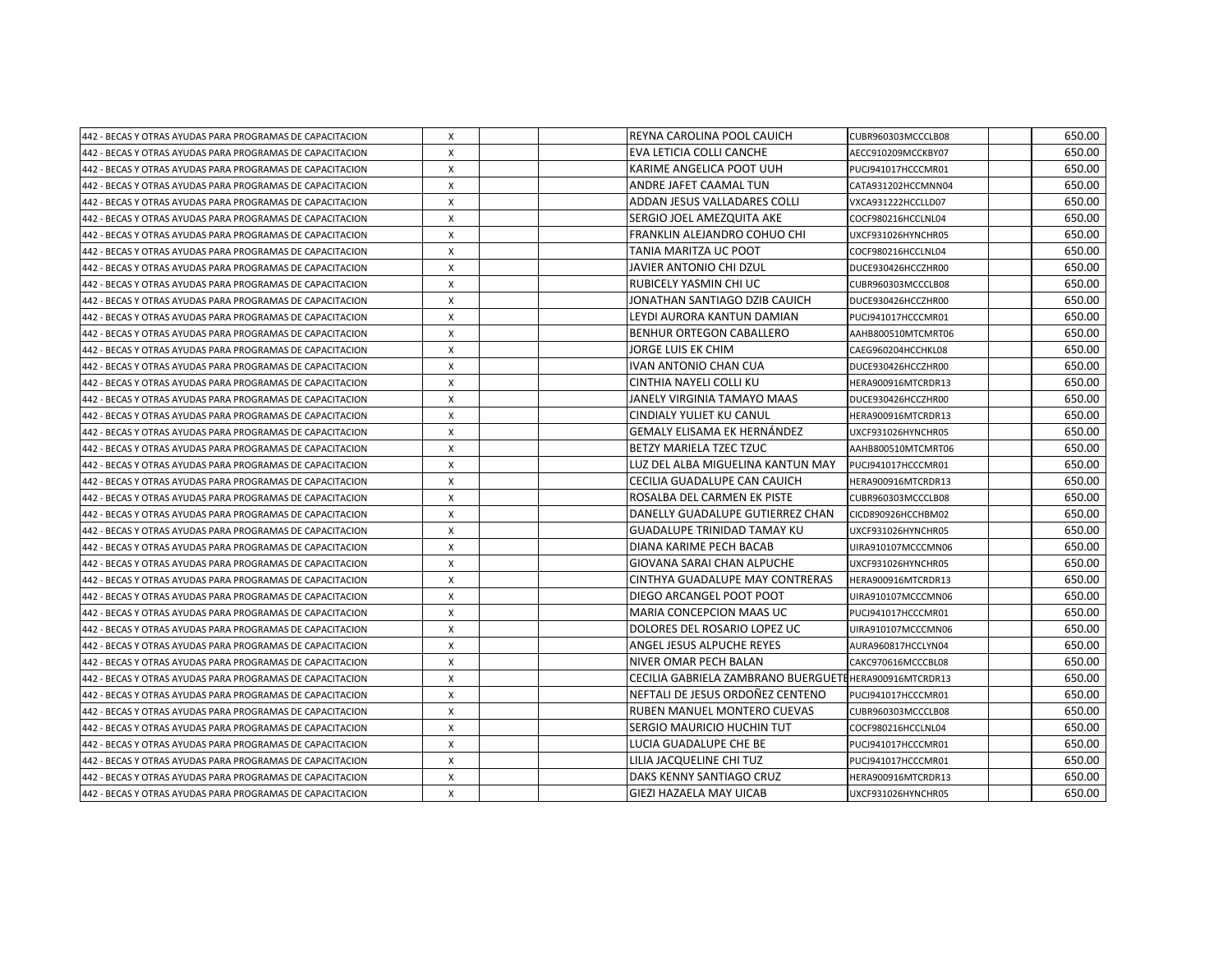| 442 - BECAS Y OTRAS AYUDAS PARA PROGRAMAS DE CAPACITACION | Х            | REYNA CAROLINA POOL CAUICH                             | CUBR960303MCCCLB08 | 650.00 |
|-----------------------------------------------------------|--------------|--------------------------------------------------------|--------------------|--------|
| 442 - BECAS Y OTRAS AYUDAS PARA PROGRAMAS DE CAPACITACION | X            | EVA LETICIA COLLI CANCHE                               | AECC910209MCCKBY07 | 650.00 |
| 442 - BECAS Y OTRAS AYUDAS PARA PROGRAMAS DE CAPACITACION | X            | KARIME ANGELICA POOT UUH                               | PUCJ941017HCCCMR01 | 650.00 |
| 442 - BECAS Y OTRAS AYUDAS PARA PROGRAMAS DE CAPACITACION | X            | ANDRE JAFET CAAMAL TUN                                 | CATA931202HCCMNN04 | 650.00 |
| 442 - BECAS Y OTRAS AYUDAS PARA PROGRAMAS DE CAPACITACION | X            | ADDAN JESUS VALLADARES COLLI                           | VXCA931222HCCLLD07 | 650.00 |
| 442 - BECAS Y OTRAS AYUDAS PARA PROGRAMAS DE CAPACITACION | X            | SERGIO JOEL AMEZQUITA AKE                              | COCF980216HCCLNL04 | 650.00 |
| 442 - BECAS Y OTRAS AYUDAS PARA PROGRAMAS DE CAPACITACION | Χ            | FRANKLIN ALEJANDRO COHUO CHI                           | UXCF931026HYNCHR05 | 650.00 |
| 442 - BECAS Y OTRAS AYUDAS PARA PROGRAMAS DE CAPACITACION | X            | TANIA MARITZA UC POOT                                  | COCF980216HCCLNL04 | 650.00 |
| 442 - BECAS Y OTRAS AYUDAS PARA PROGRAMAS DE CAPACITACION | X            | JAVIER ANTONIO CHI DZUL                                | DUCE930426HCCZHR00 | 650.00 |
| 442 - BECAS Y OTRAS AYUDAS PARA PROGRAMAS DE CAPACITACION | X            | RUBICELY YASMIN CHI UC                                 | CUBR960303MCCCLB08 | 650.00 |
| 442 - BECAS Y OTRAS AYUDAS PARA PROGRAMAS DE CAPACITACION | X            | JONATHAN SANTIAGO DZIB CAUICH                          | DUCE930426HCCZHR00 | 650.00 |
| 442 - BECAS Y OTRAS AYUDAS PARA PROGRAMAS DE CAPACITACION | X            | LEYDI AURORA KANTUN DAMIAN                             | PUCJ941017HCCCMR01 | 650.00 |
| 442 - BECAS Y OTRAS AYUDAS PARA PROGRAMAS DE CAPACITACION | X            | <b>BENHUR ORTEGON CABALLERO</b>                        | AAHB800510MTCMRT06 | 650.00 |
| 442 - BECAS Y OTRAS AYUDAS PARA PROGRAMAS DE CAPACITACION | X            | JORGE LUIS EK CHIM                                     | CAEG960204HCCHKL08 | 650.00 |
| 442 - BECAS Y OTRAS AYUDAS PARA PROGRAMAS DE CAPACITACION | X            | <b>IVAN ANTONIO CHAN CUA</b>                           | DUCE930426HCCZHR00 | 650.00 |
| 442 - BECAS Y OTRAS AYUDAS PARA PROGRAMAS DE CAPACITACION | Χ            | CINTHIA NAYELI COLLI KU                                | HERA900916MTCRDR13 | 650.00 |
| 442 - BECAS Y OTRAS AYUDAS PARA PROGRAMAS DE CAPACITACION | Χ            | JANELY VIRGINIA TAMAYO MAAS                            | DUCE930426HCCZHR00 | 650.00 |
| 442 - BECAS Y OTRAS AYUDAS PARA PROGRAMAS DE CAPACITACION | $\mathsf{x}$ | CINDIALY YULIET KU CANUL                               | HERA900916MTCRDR13 | 650.00 |
| 442 - BECAS Y OTRAS AYUDAS PARA PROGRAMAS DE CAPACITACION | X            | <b>GEMALY ELISAMA EK HERNÁNDEZ</b>                     | UXCF931026HYNCHR05 | 650.00 |
| 442 - BECAS Y OTRAS AYUDAS PARA PROGRAMAS DE CAPACITACION | X            | BETZY MARIELA TZEC TZUC                                | AAHB800510MTCMRT06 | 650.00 |
| 442 - BECAS Y OTRAS AYUDAS PARA PROGRAMAS DE CAPACITACION | X            | LUZ DEL ALBA MIGUELINA KANTUN MAY                      | PUCJ941017HCCCMR01 | 650.00 |
| 442 - BECAS Y OTRAS AYUDAS PARA PROGRAMAS DE CAPACITACION | X            | CECILIA GUADALUPE CAN CAUICH                           | HERA900916MTCRDR13 | 650.00 |
| 442 - BECAS Y OTRAS AYUDAS PARA PROGRAMAS DE CAPACITACION | X            | ROSALBA DEL CARMEN EK PISTE                            | CUBR960303MCCCLB08 | 650.00 |
| 442 - BECAS Y OTRAS AYUDAS PARA PROGRAMAS DE CAPACITACION | X            | DANELLY GUADALUPE GUTIERREZ CHAN                       | CICD890926HCCHBM02 | 650.00 |
| 442 - BECAS Y OTRAS AYUDAS PARA PROGRAMAS DE CAPACITACION | X            | <b>GUADALUPE TRINIDAD TAMAY KU</b>                     | UXCF931026HYNCHR05 | 650.00 |
| 442 - BECAS Y OTRAS AYUDAS PARA PROGRAMAS DE CAPACITACION | X            | DIANA KARIME PECH BACAB                                | UIRA910107MCCCMN06 | 650.00 |
| 442 - BECAS Y OTRAS AYUDAS PARA PROGRAMAS DE CAPACITACION | X            | GIOVANA SARAI CHAN ALPUCHE                             | UXCF931026HYNCHR05 | 650.00 |
| 442 - BECAS Y OTRAS AYUDAS PARA PROGRAMAS DE CAPACITACION | X            | CINTHYA GUADALUPE MAY CONTRERAS                        | HERA900916MTCRDR13 | 650.00 |
| 442 - BECAS Y OTRAS AYUDAS PARA PROGRAMAS DE CAPACITACION | X            | DIEGO ARCANGEL POOT POOT                               | UIRA910107MCCCMN06 | 650.00 |
| 442 - BECAS Y OTRAS AYUDAS PARA PROGRAMAS DE CAPACITACION | X            | MARIA CONCEPCION MAAS UC                               | PUCJ941017HCCCMR01 | 650.00 |
| 442 - BECAS Y OTRAS AYUDAS PARA PROGRAMAS DE CAPACITACION | X            | DOLORES DEL ROSARIO LOPEZ UC                           | UIRA910107MCCCMN06 | 650.00 |
| 442 - BECAS Y OTRAS AYUDAS PARA PROGRAMAS DE CAPACITACION | X            | ANGEL JESUS ALPUCHE REYES                              | AURA960817HCCLYN04 | 650.00 |
| 442 - BECAS Y OTRAS AYUDAS PARA PROGRAMAS DE CAPACITACION | X            | NIVER OMAR PECH BALAN                                  | CAKC970616MCCCBL08 | 650.00 |
| 442 - BECAS Y OTRAS AYUDAS PARA PROGRAMAS DE CAPACITACION | X            | CECILIA GABRIELA ZAMBRANO BUERGUETE HERA900916MTCRDR13 |                    | 650.00 |
| 442 - BECAS Y OTRAS AYUDAS PARA PROGRAMAS DE CAPACITACION | Χ            | NEFTALI DE JESUS ORDOÑEZ CENTENO                       | PUCJ941017HCCCMR01 | 650.00 |
| 442 - BECAS Y OTRAS AYUDAS PARA PROGRAMAS DE CAPACITACION | X            | RUBEN MANUEL MONTERO CUEVAS                            | CUBR960303MCCCLB08 | 650.00 |
| 442 - BECAS Y OTRAS AYUDAS PARA PROGRAMAS DE CAPACITACION | X            | SERGIO MAURICIO HUCHIN TUT                             | COCF980216HCCLNL04 | 650.00 |
| 442 - BECAS Y OTRAS AYUDAS PARA PROGRAMAS DE CAPACITACION | X            | LUCIA GUADALUPE CHE BE                                 | PUCJ941017HCCCMR01 | 650.00 |
| 442 - BECAS Y OTRAS AYUDAS PARA PROGRAMAS DE CAPACITACION | X            | LILIA JACQUELINE CHI TUZ                               | PUCJ941017HCCCMR01 | 650.00 |
| 442 - BECAS Y OTRAS AYUDAS PARA PROGRAMAS DE CAPACITACION | X            | DAKS KENNY SANTIAGO CRUZ                               | HERA900916MTCRDR13 | 650.00 |
| 442 - BECAS Y OTRAS AYUDAS PARA PROGRAMAS DE CAPACITACION | $\mathsf{x}$ | GIEZI HAZAELA MAY UICAB                                | UXCF931026HYNCHR05 | 650.00 |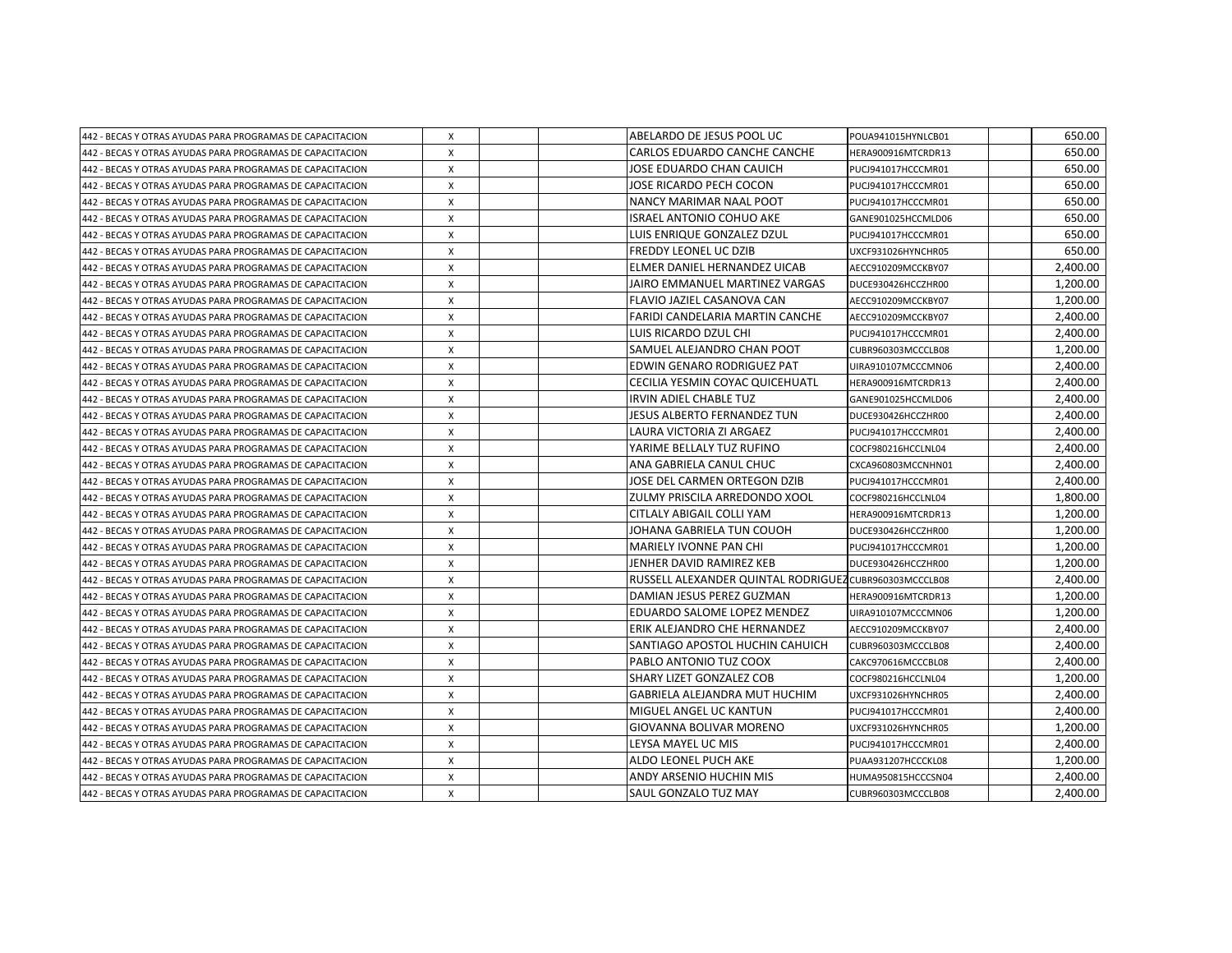| 442 - BECAS Y OTRAS AYUDAS PARA PROGRAMAS DE CAPACITACION | X            | ABELARDO DE JESUS POOL UC                              | POUA941015HYNLCB01 | 650.00   |
|-----------------------------------------------------------|--------------|--------------------------------------------------------|--------------------|----------|
| 442 - BECAS Y OTRAS AYUDAS PARA PROGRAMAS DE CAPACITACION | X            | CARLOS EDUARDO CANCHE CANCHE                           | HERA900916MTCRDR13 | 650.00   |
| 442 - BECAS Y OTRAS AYUDAS PARA PROGRAMAS DE CAPACITACION | X            | JOSE EDUARDO CHAN CAUICH                               | PUCJ941017HCCCMR01 | 650.00   |
| 442 - BECAS Y OTRAS AYUDAS PARA PROGRAMAS DE CAPACITACION | X            | JOSE RICARDO PECH COCON                                | PUCJ941017HCCCMR01 | 650.00   |
| 442 - BECAS Y OTRAS AYUDAS PARA PROGRAMAS DE CAPACITACION | X            | NANCY MARIMAR NAAL POOT                                | PUCJ941017HCCCMR01 | 650.00   |
| 442 - BECAS Y OTRAS AYUDAS PARA PROGRAMAS DE CAPACITACION | X            | ISRAEL ANTONIO COHUO AKE                               | GANE901025HCCMLD06 | 650.00   |
| 442 - BECAS Y OTRAS AYUDAS PARA PROGRAMAS DE CAPACITACION | X            | LUIS ENRIQUE GONZALEZ DZUL                             | PUCJ941017HCCCMR01 | 650.00   |
| 442 - BECAS Y OTRAS AYUDAS PARA PROGRAMAS DE CAPACITACION | X            | FREDDY LEONEL UC DZIB                                  | UXCF931026HYNCHR05 | 650.00   |
| 442 - BECAS Y OTRAS AYUDAS PARA PROGRAMAS DE CAPACITACION | X            | ELMER DANIEL HERNANDEZ UICAB                           | AECC910209MCCKBY07 | 2,400.00 |
| 442 - BECAS Y OTRAS AYUDAS PARA PROGRAMAS DE CAPACITACION | X            | JAIRO EMMANUEL MARTINEZ VARGAS                         | DUCE930426HCCZHR00 | 1,200.00 |
| 442 - BECAS Y OTRAS AYUDAS PARA PROGRAMAS DE CAPACITACION | X            | FLAVIO JAZIEL CASANOVA CAN                             | AECC910209MCCKBY07 | 1,200.00 |
| 442 - BECAS Y OTRAS AYUDAS PARA PROGRAMAS DE CAPACITACION | X            | FARIDI CANDELARIA MARTIN CANCHE                        | AECC910209MCCKBY07 | 2,400.00 |
| 442 - BECAS Y OTRAS AYUDAS PARA PROGRAMAS DE CAPACITACION | X            | LUIS RICARDO DZUL CHI                                  | PUCJ941017HCCCMR01 | 2,400.00 |
| 442 - BECAS Y OTRAS AYUDAS PARA PROGRAMAS DE CAPACITACION | X            | SAMUEL ALEJANDRO CHAN POOT                             | CUBR960303MCCCLB08 | 1,200.00 |
| 442 - BECAS Y OTRAS AYUDAS PARA PROGRAMAS DE CAPACITACION | X            | EDWIN GENARO RODRIGUEZ PAT                             | UIRA910107MCCCMN06 | 2,400.00 |
| 442 - BECAS Y OTRAS AYUDAS PARA PROGRAMAS DE CAPACITACION | X            | CECILIA YESMIN COYAC QUICEHUATL                        | HERA900916MTCRDR13 | 2,400.00 |
| 442 - BECAS Y OTRAS AYUDAS PARA PROGRAMAS DE CAPACITACION | X            | IRVIN ADIEL CHABLE TUZ                                 | GANE901025HCCMLD06 | 2,400.00 |
| 442 - BECAS Y OTRAS AYUDAS PARA PROGRAMAS DE CAPACITACION | X            | JESUS ALBERTO FERNANDEZ TUN                            | DUCE930426HCCZHR00 | 2.400.00 |
| 442 - BECAS Y OTRAS AYUDAS PARA PROGRAMAS DE CAPACITACION | X            | LAURA VICTORIA ZI ARGAEZ                               | PUCJ941017HCCCMR01 | 2,400.00 |
| 442 - BECAS Y OTRAS AYUDAS PARA PROGRAMAS DE CAPACITACION | X            | YARIME BELLALY TUZ RUFINO                              | COCF980216HCCLNL04 | 2,400.00 |
| 442 - BECAS Y OTRAS AYUDAS PARA PROGRAMAS DE CAPACITACION | X            | ANA GABRIELA CANUL CHUC                                | CXCA960803MCCNHN01 | 2,400.00 |
| 442 - BECAS Y OTRAS AYUDAS PARA PROGRAMAS DE CAPACITACION | X            | JOSE DEL CARMEN ORTEGON DZIB                           | PUCJ941017HCCCMR01 | 2,400.00 |
| 442 - BECAS Y OTRAS AYUDAS PARA PROGRAMAS DE CAPACITACION | X            | ZULMY PRISCILA ARREDONDO XOOL                          | COCF980216HCCLNL04 | 1,800.00 |
| 442 - BECAS Y OTRAS AYUDAS PARA PROGRAMAS DE CAPACITACION | X            | CITLALY ABIGAIL COLLI YAM                              | HERA900916MTCRDR13 | 1,200.00 |
| 442 - BECAS Y OTRAS AYUDAS PARA PROGRAMAS DE CAPACITACION | X            | JOHANA GABRIELA TUN COUOH                              | DUCE930426HCCZHR00 | 1,200.00 |
| 442 - BECAS Y OTRAS AYUDAS PARA PROGRAMAS DE CAPACITACION | X            | MARIELY IVONNE PAN CHI                                 | PUCJ941017HCCCMR01 | 1,200.00 |
| 442 - BECAS Y OTRAS AYUDAS PARA PROGRAMAS DE CAPACITACION | X            | JENHER DAVID RAMIREZ KEB                               | DUCE930426HCCZHR00 | 1,200.00 |
| 442 - BECAS Y OTRAS AYUDAS PARA PROGRAMAS DE CAPACITACION | X            | RUSSELL ALEXANDER QUINTAL RODRIGUEZ CUBR960303MCCCLB08 |                    | 2,400.00 |
| 442 - BECAS Y OTRAS AYUDAS PARA PROGRAMAS DE CAPACITACION | X            | DAMIAN JESUS PEREZ GUZMAN                              | HERA900916MTCRDR13 | 1,200.00 |
| 442 - BECAS Y OTRAS AYUDAS PARA PROGRAMAS DE CAPACITACION | $\mathsf{x}$ | EDUARDO SALOME LOPEZ MENDEZ                            | UIRA910107MCCCMN06 | 1.200.00 |
| 442 - BECAS Y OTRAS AYUDAS PARA PROGRAMAS DE CAPACITACION | $\mathsf{x}$ | ERIK ALEJANDRO CHE HERNANDEZ                           | AECC910209MCCKBY07 | 2,400.00 |
| 442 - BECAS Y OTRAS AYUDAS PARA PROGRAMAS DE CAPACITACION | X            | SANTIAGO APOSTOL HUCHIN CAHUICH                        | CUBR960303MCCCLB08 | 2,400.00 |
| 442 - BECAS Y OTRAS AYUDAS PARA PROGRAMAS DE CAPACITACION | X            | PABLO ANTONIO TUZ COOX                                 | CAKC970616MCCCBL08 | 2,400.00 |
| 442 - BECAS Y OTRAS AYUDAS PARA PROGRAMAS DE CAPACITACION | X            | SHARY LIZET GONZALEZ COB                               | COCF980216HCCLNL04 | 1,200.00 |
| 442 - BECAS Y OTRAS AYUDAS PARA PROGRAMAS DE CAPACITACION | Χ            | GABRIELA ALEJANDRA MUT HUCHIM                          | UXCF931026HYNCHR05 | 2,400.00 |
| 442 - BECAS Y OTRAS AYUDAS PARA PROGRAMAS DE CAPACITACION | X            | MIGUEL ANGEL UC KANTUN                                 | PUCJ941017HCCCMR01 | 2,400.00 |
| 442 - BECAS Y OTRAS AYUDAS PARA PROGRAMAS DE CAPACITACION | X            | GIOVANNA BOLIVAR MORENO                                | UXCF931026HYNCHR05 | 1,200.00 |
| 442 - BECAS Y OTRAS AYUDAS PARA PROGRAMAS DE CAPACITACION | X            | LEYSA MAYEL UC MIS                                     | PUCJ941017HCCCMR01 | 2,400.00 |
| 442 - BECAS Y OTRAS AYUDAS PARA PROGRAMAS DE CAPACITACION | X            | ALDO LEONEL PUCH AKE                                   | PUAA931207HCCCKL08 | 1,200.00 |
| 442 - BECAS Y OTRAS AYUDAS PARA PROGRAMAS DE CAPACITACION | X            | ANDY ARSENIO HUCHIN MIS                                | HUMA950815HCCCSN04 | 2,400.00 |
| 442 - BECAS Y OTRAS AYUDAS PARA PROGRAMAS DE CAPACITACION | $\mathsf{x}$ | <b>SAUL GONZALO TUZ MAY</b>                            | CUBR960303MCCCLB08 | 2,400.00 |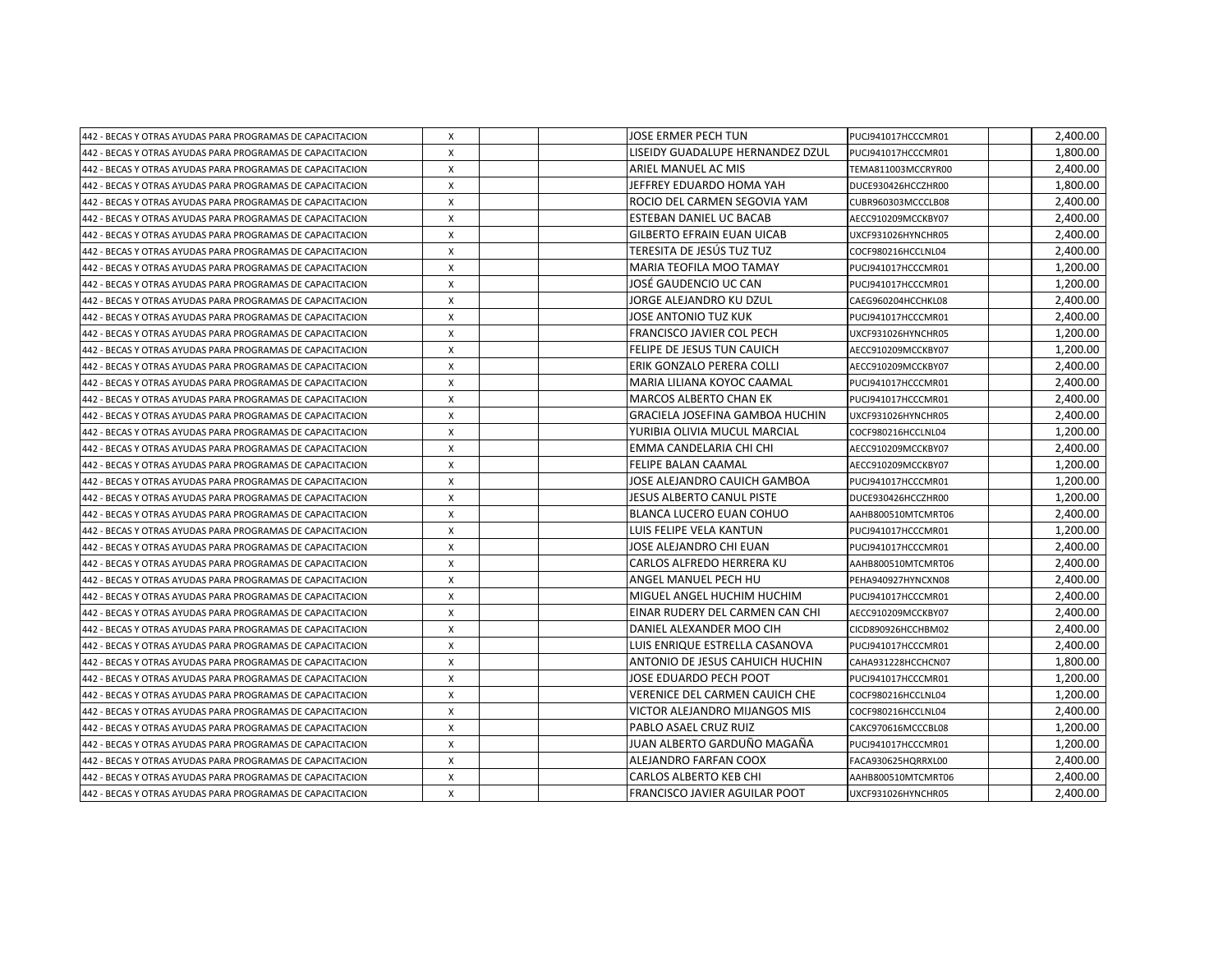| 442 - BECAS Y OTRAS AYUDAS PARA PROGRAMAS DE CAPACITACION | Χ            | JOSE ERMER PECH TUN               | PUCJ941017HCCCMR01 | 2,400.00 |
|-----------------------------------------------------------|--------------|-----------------------------------|--------------------|----------|
| 442 - BECAS Y OTRAS AYUDAS PARA PROGRAMAS DE CAPACITACION | $\mathsf{x}$ | LISEIDY GUADALUPE HERNANDEZ DZUL  | PUCJ941017HCCCMR01 | 1.800.00 |
| 442 - BECAS Y OTRAS AYUDAS PARA PROGRAMAS DE CAPACITACION | X            | ARIEL MANUEL AC MIS               | TEMA811003MCCRYR00 | 2.400.00 |
| 442 - BECAS Y OTRAS AYUDAS PARA PROGRAMAS DE CAPACITACION | X            | JEFFREY EDUARDO HOMA YAH          | DUCE930426HCCZHR00 | 1,800.00 |
| 442 - BECAS Y OTRAS AYUDAS PARA PROGRAMAS DE CAPACITACION | X            | ROCIO DEL CARMEN SEGOVIA YAM      | CUBR960303MCCCLB08 | 2,400.00 |
| 442 - BECAS Y OTRAS AYUDAS PARA PROGRAMAS DE CAPACITACION | X            | ESTEBAN DANIEL UC BACAB           | AECC910209MCCKBY07 | 2,400.00 |
| 442 - BECAS Y OTRAS AYUDAS PARA PROGRAMAS DE CAPACITACION | X            | <b>GILBERTO EFRAIN EUAN UICAB</b> | UXCF931026HYNCHR05 | 2,400.00 |
| 442 - BECAS Y OTRAS AYUDAS PARA PROGRAMAS DE CAPACITACION | X            | TERESITA DE JESÚS TUZ TUZ         | COCF980216HCCLNL04 | 2,400.00 |
| 442 - BECAS Y OTRAS AYUDAS PARA PROGRAMAS DE CAPACITACION | X            | <b>MARIA TEOFILA MOO TAMAY</b>    | PUCJ941017HCCCMR01 | 1,200.00 |
| 442 - BECAS Y OTRAS AYUDAS PARA PROGRAMAS DE CAPACITACION | X            | JOSÉ GAUDENCIO UC CAN             | PUCJ941017HCCCMR01 | 1,200.00 |
| 442 - BECAS Y OTRAS AYUDAS PARA PROGRAMAS DE CAPACITACION | X            | JORGE ALEJANDRO KU DZUL           | CAEG960204HCCHKL08 | 2,400.00 |
| 442 - BECAS Y OTRAS AYUDAS PARA PROGRAMAS DE CAPACITACION | X            | JOSE ANTONIO TUZ KUK              | PUCJ941017HCCCMR01 | 2,400.00 |
| 442 - BECAS Y OTRAS AYUDAS PARA PROGRAMAS DE CAPACITACION | X            | FRANCISCO JAVIER COL PECH         | UXCF931026HYNCHR05 | 1,200.00 |
| 442 - BECAS Y OTRAS AYUDAS PARA PROGRAMAS DE CAPACITACION | X            | <b>FELIPE DE JESUS TUN CAUICH</b> | AECC910209MCCKBY07 | 1,200.00 |
| 442 - BECAS Y OTRAS AYUDAS PARA PROGRAMAS DE CAPACITACION | X            | ERIK GONZALO PERERA COLLI         | AECC910209MCCKBY07 | 2,400.00 |
| 442 - BECAS Y OTRAS AYUDAS PARA PROGRAMAS DE CAPACITACION | X            | MARIA LILIANA KOYOC CAAMAL        | PUCJ941017HCCCMR01 | 2,400.00 |
| 442 - BECAS Y OTRAS AYUDAS PARA PROGRAMAS DE CAPACITACION | X            | <b>MARCOS ALBERTO CHAN EK</b>     | PUCJ941017HCCCMR01 | 2,400.00 |
| 442 - BECAS Y OTRAS AYUDAS PARA PROGRAMAS DE CAPACITACION | X            | GRACIELA JOSEFINA GAMBOA HUCHIN   | UXCF931026HYNCHR05 | 2.400.00 |
| 442 - BECAS Y OTRAS AYUDAS PARA PROGRAMAS DE CAPACITACION | X            | YURIBIA OLIVIA MUCUL MARCIAL      | COCF980216HCCLNL04 | 1,200.00 |
| 442 - BECAS Y OTRAS AYUDAS PARA PROGRAMAS DE CAPACITACION | X            | EMMA CANDELARIA CHI CHI           | AECC910209MCCKBY07 | 2,400.00 |
| 442 - BECAS Y OTRAS AYUDAS PARA PROGRAMAS DE CAPACITACION | X            | <b>FELIPE BALAN CAAMAL</b>        | AECC910209MCCKBY07 | 1,200.00 |
| 442 - BECAS Y OTRAS AYUDAS PARA PROGRAMAS DE CAPACITACION | X            | JOSE ALEJANDRO CAUICH GAMBOA      | PUCJ941017HCCCMR01 | 1,200.00 |
| 442 - BECAS Y OTRAS AYUDAS PARA PROGRAMAS DE CAPACITACION | X            | JESUS ALBERTO CANUL PISTE         | DUCE930426HCCZHR00 | 1,200.00 |
| 442 - BECAS Y OTRAS AYUDAS PARA PROGRAMAS DE CAPACITACION | X            | BLANCA LUCERO EUAN COHUO          | AAHB800510MTCMRT06 | 2,400.00 |
| 442 - BECAS Y OTRAS AYUDAS PARA PROGRAMAS DE CAPACITACION | X            | LUIS FELIPE VELA KANTUN           | PUCJ941017HCCCMR01 | 1,200.00 |
| 442 - BECAS Y OTRAS AYUDAS PARA PROGRAMAS DE CAPACITACION | X            | JOSE ALEJANDRO CHI EUAN           | PUCJ941017HCCCMR01 | 2,400.00 |
| 442 - BECAS Y OTRAS AYUDAS PARA PROGRAMAS DE CAPACITACION | X            | <b>CARLOS ALFREDO HERRERA KU</b>  | AAHB800510MTCMRT06 | 2.400.00 |
| 442 - BECAS Y OTRAS AYUDAS PARA PROGRAMAS DE CAPACITACION | X            | <b>ANGEL MANUEL PECH HU</b>       | PEHA940927HYNCXN08 | 2.400.00 |
| 442 - BECAS Y OTRAS AYUDAS PARA PROGRAMAS DE CAPACITACION | Χ            | MIGUEL ANGEL HUCHIM HUCHIM        | PUCJ941017HCCCMR01 | 2,400.00 |
| 442 - BECAS Y OTRAS AYUDAS PARA PROGRAMAS DE CAPACITACION | X            | EINAR RUDERY DEL CARMEN CAN CHI   | AECC910209MCCKBY07 | 2,400.00 |
| 442 - BECAS Y OTRAS AYUDAS PARA PROGRAMAS DE CAPACITACION | X            | DANIEL ALEXANDER MOO CIH          | CICD890926HCCHBM02 | 2,400.00 |
| 442 - BECAS Y OTRAS AYUDAS PARA PROGRAMAS DE CAPACITACION | X            | LUIS ENRIQUE ESTRELLA CASANOVA    | PUCJ941017HCCCMR01 | 2,400.00 |
| 442 - BECAS Y OTRAS AYUDAS PARA PROGRAMAS DE CAPACITACION | X            | ANTONIO DE JESUS CAHUICH HUCHIN   | CAHA931228HCCHCN07 | 1,800.00 |
| 442 - BECAS Y OTRAS AYUDAS PARA PROGRAMAS DE CAPACITACION | X            | JOSE EDUARDO PECH POOT            | PUCJ941017HCCCMR01 | 1,200.00 |
| 442 - BECAS Y OTRAS AYUDAS PARA PROGRAMAS DE CAPACITACION | X            | VERENICE DEL CARMEN CAUICH CHE    | COCF980216HCCLNL04 | 1,200.00 |
| 442 - BECAS Y OTRAS AYUDAS PARA PROGRAMAS DE CAPACITACION | X            | VICTOR ALEJANDRO MIJANGOS MIS     | COCF980216HCCLNL04 | 2.400.00 |
| 442 - BECAS Y OTRAS AYUDAS PARA PROGRAMAS DE CAPACITACION | X            | PABLO ASAEL CRUZ RUIZ             | CAKC970616MCCCBL08 | 1.200.00 |
| 442 - BECAS Y OTRAS AYUDAS PARA PROGRAMAS DE CAPACITACION | X            | JUAN ALBERTO GARDUÑO MAGAÑA       | PUCJ941017HCCCMR01 | 1,200.00 |
| 442 - BECAS Y OTRAS AYUDAS PARA PROGRAMAS DE CAPACITACION | X            | ALEJANDRO FARFAN COOX             | FACA930625HQRRXL00 | 2,400.00 |
| 442 - BECAS Y OTRAS AYUDAS PARA PROGRAMAS DE CAPACITACION | X            | <b>CARLOS ALBERTO KEB CHI</b>     | AAHB800510MTCMRT06 | 2,400.00 |
| 442 - BECAS Y OTRAS AYUDAS PARA PROGRAMAS DE CAPACITACION | X            | FRANCISCO JAVIER AGUILAR POOT     | UXCF931026HYNCHR05 | 2,400.00 |